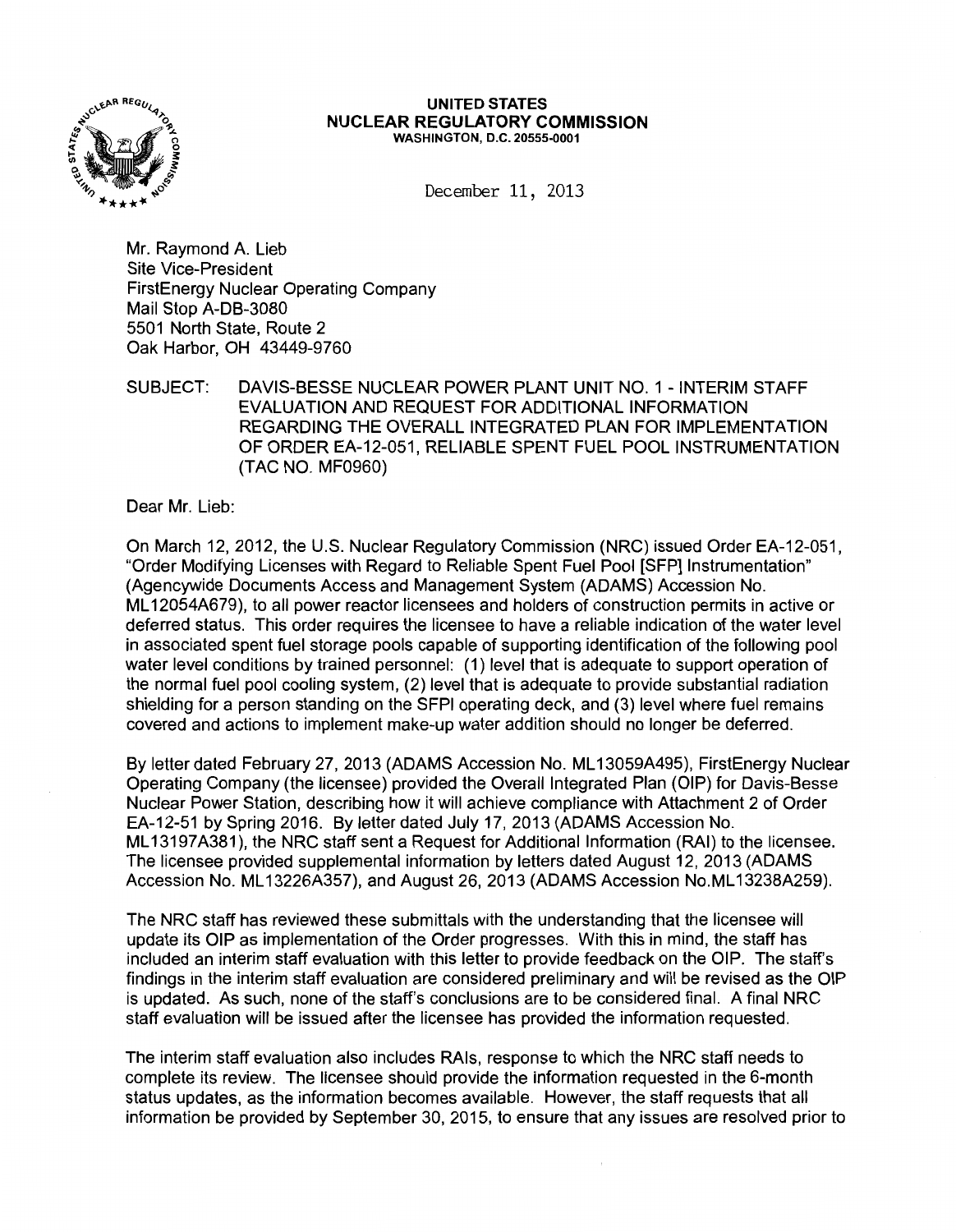

#### UNITED STATES NUCLEAR REGULATORY COMMISSION WASHINGTON, D.C. 20555-0001

December 11, 2013

Mr. Raymond A. Lieb Site Vice-President FirstEnergy Nuclear Operating Company Mail Stop A-DB-3080 5501 North State, Route 2 Oak Harbor, OH 43449-9760

SUBJECT: DAVIS-BESSE NUCLEAR POWER PLANT UNIT NO. 1 -INTERIM STAFF EVALUATION AND REQUEST FOR ADDITIONAL INFORMATION REGARDING THE OVERALL INTEGRATED PLAN FOR IMPLEMENTATION OF ORDER EA-12-051, RELIABLE SPENT FUEL POOL INSTRUMENTATION (TAC NO. MF0960)

Dear Mr. Lieb:

On March 12, 2012, the U.S. Nuclear Regulatory Commission (NRC) issued Order EA-12-051, "Order Modifying Licenses with Regard to Reliable Spent Fuel Pool [SFP] Instrumentation" (Agencywide Documents Access and Management System (ADAMS) Accession No. ML 12054A679), to all power reactor licensees and holders of construction permits in active or deferred status. This order requires the licensee to have a reliable indication of the water level in associated spent fuel storage pools capable of supporting identification of the following pool water level conditions by trained personnel: (1) level that is adequate to support operation of the normal fuel pool cooling system, (2) level that is adequate to provide substantial radiation shielding for a person standing on the SFPI operating deck, and (3) level where fuel remains covered and actions to implement make-up water addition should no longer be deferred.

By letter dated February 27, 2013 (ADAMS Accession No. ML 13059A495), FirstEnergy Nuclear Operating Company (the licensee) provided the Overall Integrated Plan (OIP) for Davis-Besse Nuclear Power Station, describing how it will achieve compliance with Attachment 2 of Order EA-12-51 by Spring 2016. By letter dated July 17, 2013 (ADAMS Accession No. ML13197A381), the NRC staff sent a Request for Additional Information (RAI) to the licensee. The licensee provided supplemental information by letters dated August 12, 2013 (ADAMS Accession No. ML 13226A357), and August 26, 2013 (ADAMS Accession No.ML 13238A259).

The NRC staff has reviewed these submittals with the understanding that the licensee will update its OIP as implementation of the Order progresses. With this in mind, the staff has included an interim staff evaluation with this letter to provide feedback on the OIP. The staff's findings in the interim staff evaluation are considered preliminary and will be revised as the OIP is updated. As such, none of the staff's conclusions are to be considered final. A final NRC staff evaluation will be issued after the licensee has provided the information requested.

The interim staff evaluation also includes RAis, response to which the NRC staff needs to complete its review. The licensee should provide the information requested in the 6-month status updates, as the information becomes available. However, the staff requests that all information be provided by September 30, 2015, to ensure that any issues are resolved prior to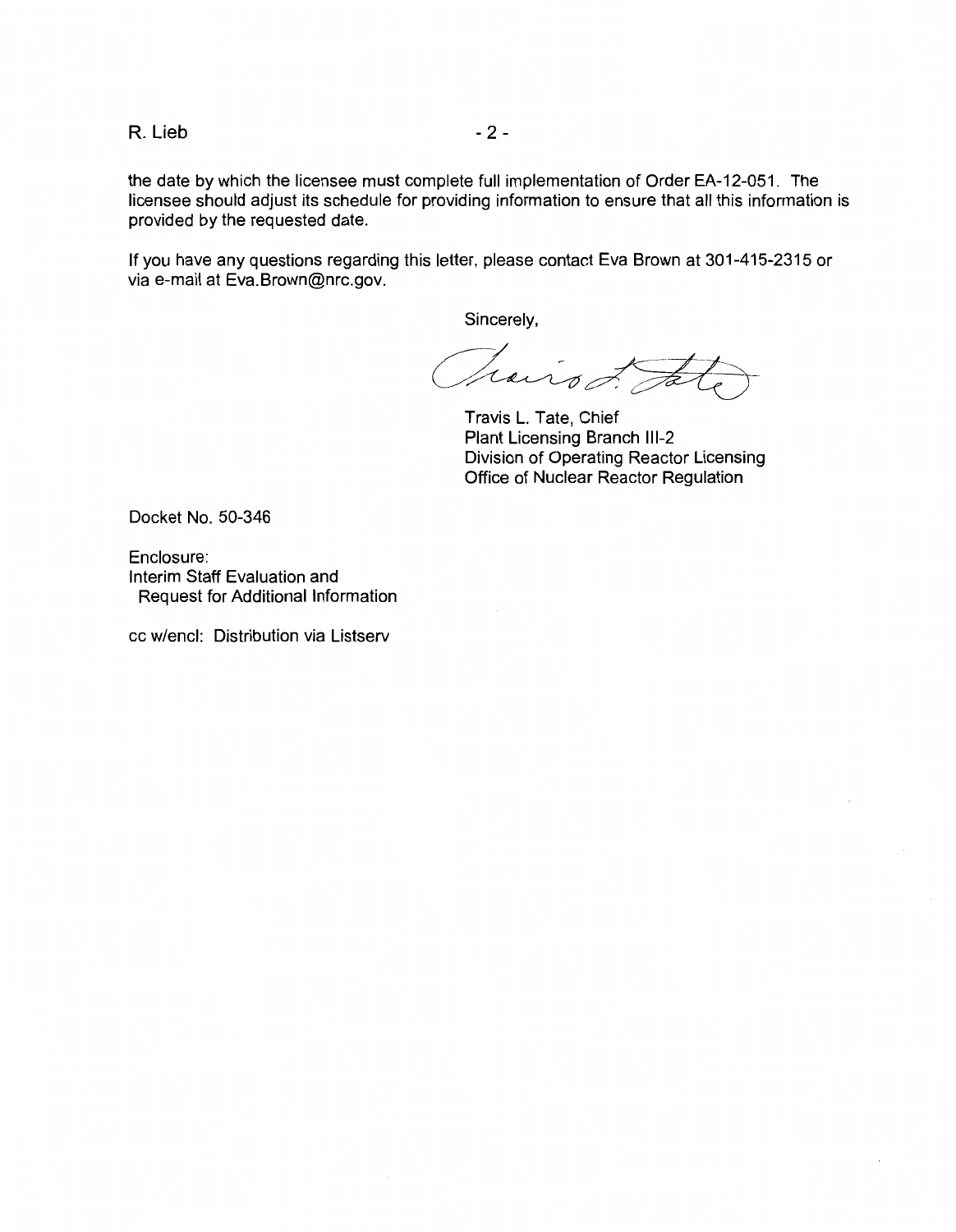$R.$  Lieb  $-2-$ 

the date by which the licensee must complete full implementation of Order EA-12-051. The licensee should adjust its schedule for providing information to ensure that all this information is provided by the requested date.

If you have any questions regarding this letter, please contact Eva Brown at 301-415-2315 or via e-mail at Eva.Brown@nrc.gov.

Sincerely,

Trais L. Ja

Travis L. Tate, Chief Plant Licensing Branch 111-2 Division of Operating Reactor Licensing Office of Nuclear Reactor Regulation

Docket No. 50-346

Enclosure: Interim Staff Evaluation and Request for Additional Information

cc w/encl: Distribution via Listserv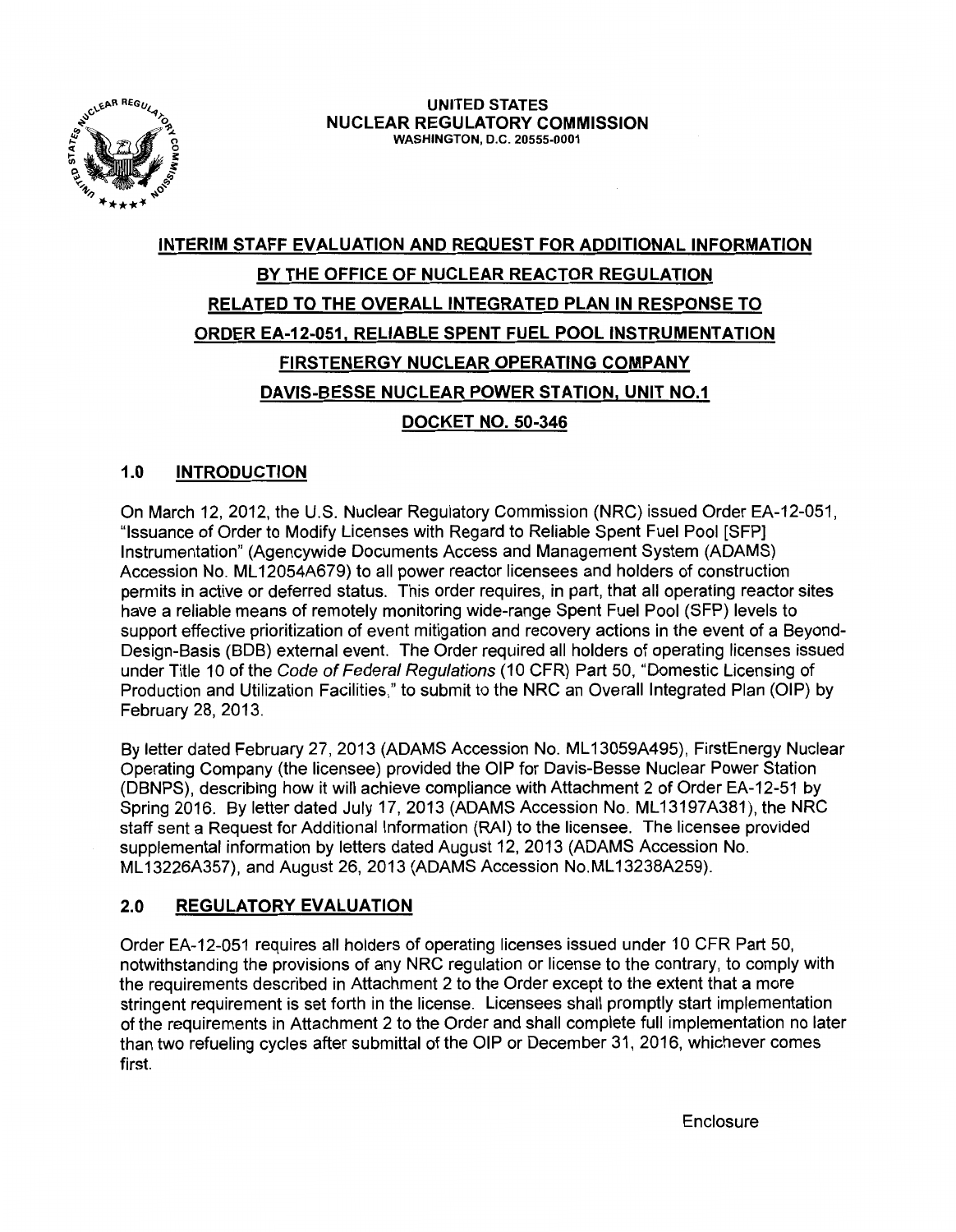

# **INTERIM STAFF EVALUATION AND REQUEST FOR ADDITIONAL INFORMATION BY THE OFFICE OF NUCLEAR REACTOR REGULATION RELATED TO THE OVERALL INTEGRATED PLAN IN RESPONSE TO ORDER EA-12-051, RELIABLE SPENT FUEL POOL INSTRUMENTATION FIRSTENERGY NUCLEAR OPERATING COMPANY DAVIS-BESSE NUCLEAR POWER STATION, UNIT N0.1 DOCKET NO. 50-346**

## **1.0 INTRODUCTION**

On March 12,2012, the U.S. Nuclear Regulatory Commission (NRC) issued Order EA-12-051, "Issuance of Order to Modify Licenses with Regard to Reliable Spent Fuel Pool [SFP] Instrumentation" (Agencywide Documents Access and Management System (ADAMS) Accession No. ML 12054A679) to all power reactor licensees and holders of construction permits in active or deferred status. This order requires, in part, that all operating reactor sites have a reliable means of remotely monitoring wide-range Spent Fuel Pool (SFP) levels to support effective prioritization of event mitigation and recovery actions in the event of a Beyond-Design-Basis (BOB) external event. The Order required all holders of operating licenses issued under Title 10 of the Code of Federal Regulations (10 CFR) Part 50, "Domestic Licensing of Production and Utilization Facilities," to submit to the NRC an Overall Integrated Plan (OIP) by February 28, 2013.

By letter dated February 27, 2013 (ADAMS Accession No. ML 13059A495), FirstEnergy Nuclear Operating Company (the licensee) provided the OIP for Davis-Besse Nuclear Power Station (DBNPS), describing how it will achieve compliance with Attachment 2 of Order EA-12-51 by Spring 2016. By letter dated July 17, 2013 (ADAMS Accession No. ML 13197A381), the NRC staff sent a Request for Additional Information (RAI) to the licensee. The licensee provided supplemental information by letters dated August 12, 2013 (ADAMS Accession No. ML 13226A357), and August 26, 2013 (ADAMS Accession No.ML 13238A259).

## **2.0 REGULATORY EVALUATION**

Order EA-12-051 requires all holders of operating licenses issued under 10 CFR Part 50, notwithstanding the provisions of any NRC regulation or license to the contrary, to comply with the requirements described in Attachment 2 to the Order except to the extent that a more stringent requirement is set forth in the license. Licensees shall promptly start implementation of the requirements in Attachment 2 to the Order and shall complete full implementation no later than two refueling cycles after submittal of the OIP or December 31, 2016, whichever comes first.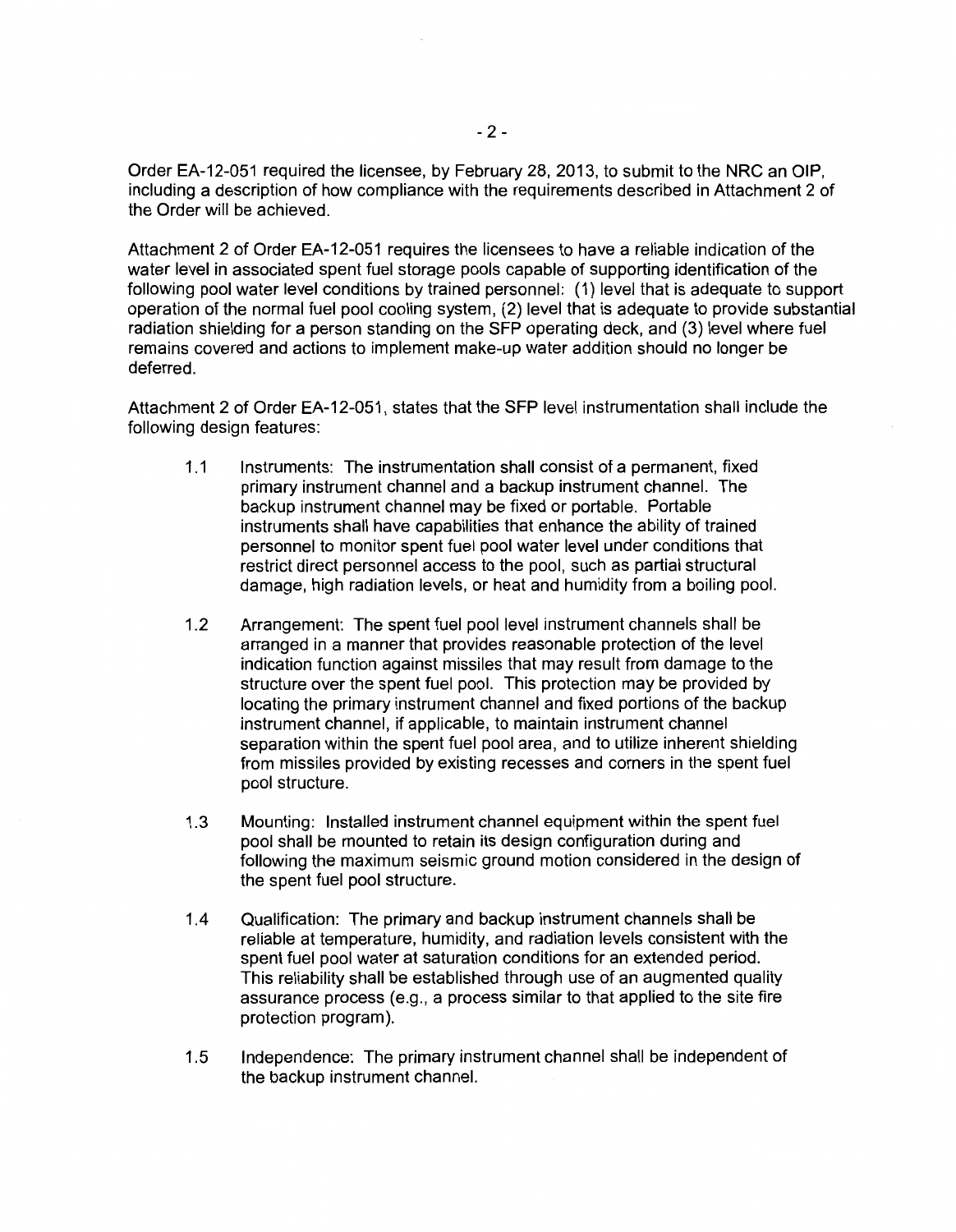Order EA-12-051 required the licensee, by February 28, 2013, to submit to the NRC an OIP, including a description of how compliance with the requirements described in Attachment 2 of the Order will be achieved.

Attachment 2 of Order EA-12-051 requires the licensees to have a reliable indication of the water level in associated spent fuel storage pools capable of supporting identification of the following pool water level conditions by trained personnel: (1) level that is adequate to support operation of the normal fuel pool cooling system, (2) level that is adequate to provide substantial radiation shielding for a person standing on the SFP operating deck, and (3) level where fuel remains covered and actions to implement make-up water addition should no longer be deferred.

Attachment 2 of Order EA-12-051, states that the SFP level instrumentation shall include the following design features:

- 1.1 Instruments: The instrumentation shall consist of a permanent, fixed primary instrument channel and a backup instrument channel. The backup instrument channel may be fixed or portable. Portable instruments shall have capabilities that enhance the ability of trained personnel to monitor spent fuel pool water level under conditions that restrict direct personnel access to the pool, such as partial structural damage, high radiation levels, or heat and humidity from a boiling pool.
- 1.2 Arrangement: The spent fuel pool level instrument channels shall be arranged in a manner that provides reasonable protection of the level indication function against missiles that may result from damage to the structure over the spent fuel pool. This protection may be provided by locating the primary instrument channel and fixed portions of the backup instrument channel, if applicable, to maintain instrument channel separation within the spent fuel pool area, and to utilize inherent shielding from missiles provided by existing recesses and corners in the spent fuel pool structure.
- 1.3 Mounting: Installed instrument channel equipment within the spent fuel pool shall be mounted to retain its design configuration during and following the maximum seismic ground motion considered in the design of the spent fuel pool structure.
- 1.4 Qualification: The primary and backup instrument channels shall be reliable at temperature, humidity, and radiation levels consistent with the spent fuel pool water at saturation conditions for an extended period. This reliability shall be established through use of an augmented quality assurance process (e.g., a process similar to that applied to the site fire protection program).
- 1.5 Independence: The primary instrument channel shall be independent of the backup instrument channel.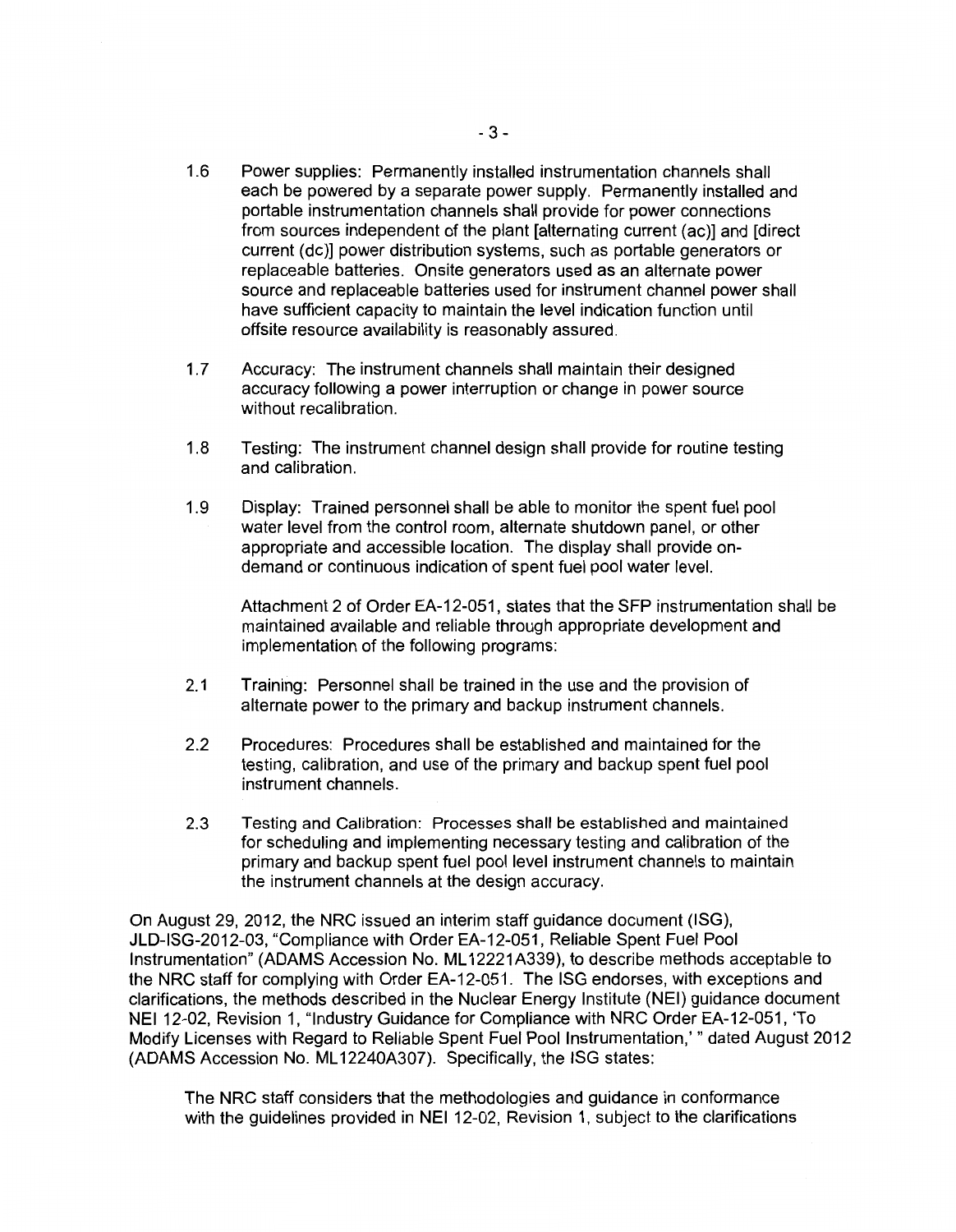- 1.6 Power supplies: Permanently installed instrumentation channels shall each be powered by a separate power supply. Permanently installed and portable instrumentation channels shall provide for power connections from sources independent of the plant [alternating current (ac)] and [direct current (de)] power distribution systems, such as portable generators or replaceable batteries. Onsite generators used as an alternate power source and replaceable batteries used for instrument channel power shall have sufficient capacity to maintain the level indication function until offsite resource availability is reasonably assured.
- 1.7 Accuracy: The instrument channels shall maintain their designed accuracy following a power interruption or change in power source without recalibration.
- 1.8 Testing: The instrument channel design shall provide for routine testing and calibration.
- 1.9 Display: Trained personnel shall be able to monitor the spent fuel pool water level from the control room, alternate shutdown panel, or other appropriate and accessible location. The display shall provide ondemand or continuous indication of spent fuel pool water level.

Attachment 2 of Order EA-12-051 , states that the SFP instrumentation shall be maintained available and reliable through appropriate development and implementation of the following programs:

- 2.1 Training: Personnel shall be trained in the use and the provision of alternate power to the primary and backup instrument channels.
- 2.2 Procedures: Procedures shall be established and maintained for the testing, calibration, and use of the primary and backup spent fuel pool instrument channels.
- 2.3 Testing and Calibration: Processes shall be established and maintained for scheduling and implementing necessary testing and calibration of the primary and backup spent fuel pool level instrument channels to maintain the instrument channels at the design accuracy.

On August 29, 2012, the NRC issued an interim staff guidance document (ISG), JLD-ISG-2012-03, "Compliance with Order EA-12-051, Reliable Spent Fuel Pool Instrumentation" (ADAMS Accession No. ML 12221A339), to describe methods acceptable to the NRC staff for complying with Order EA-12-051. The ISG endorses, with exceptions and clarifications, the methods described in the Nuclear Energy Institute (NEI) guidance document NEI 12-02, Revision 1, "Industry Guidance for Compliance with NRC Order EA-12-051, 'To Modify Licenses with Regard to Reliable Spent Fuel Pool Instrumentation,'" dated August 2012 (ADAMS Accession No. ML 12240A307). Specifically, the ISG states:

The NRC staff considers that the methodologies and guidance in conformance with the guidelines provided in NEI 12-02, Revision 1, subject to the clarifications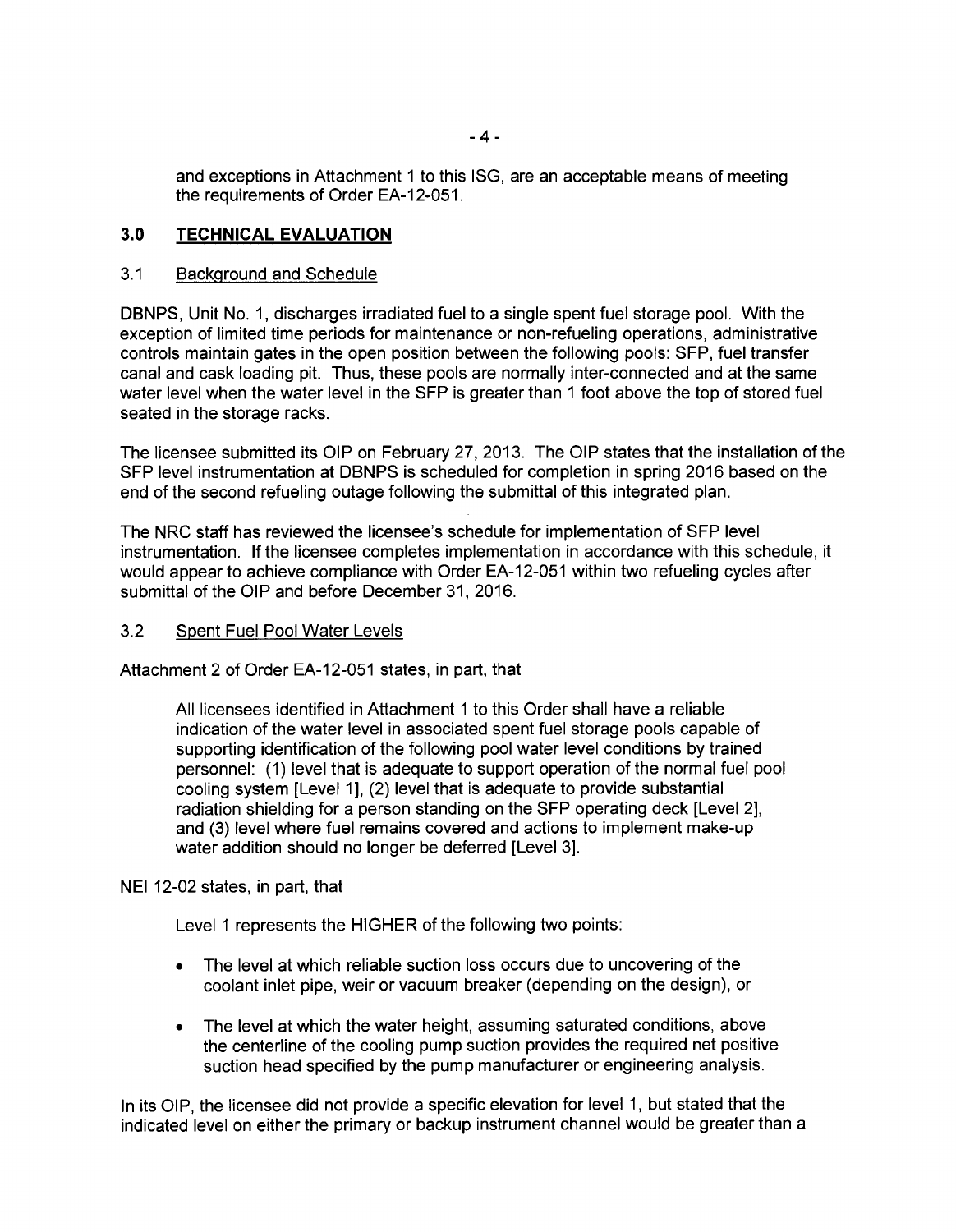and exceptions in Attachment 1 to this ISG, are an acceptable means of meeting the requirements of Order EA-12-051.

## 3.0 **TECHNICAL EVALUATION**

## 3.1 Background and Schedule

DBNPS, Unit No. 1, discharges irradiated fuel to a single spent fuel storage pool. With the exception of limited time periods for maintenance or non-refueling operations, administrative controls maintain gates in the open position between the following pools: SFP, fuel transfer canal and cask loading pit. Thus, these pools are normally inter-connected and at the same water level when the water level in the SFP is greater than 1 foot above the top of stored fuel seated in the storage racks.

The licensee submitted its OIP on February 27, 2013. The OIP states that the installation of the SFP level instrumentation at DBNPS is scheduled for completion in spring 2016 based on the end of the second refueling outage following the submittal of this integrated plan.

The NRC staff has reviewed the licensee's schedule for implementation of SFP level instrumentation. If the licensee completes implementation in accordance with this schedule, it would appear to achieve compliance with Order EA-12-051 within two refueling cycles after submittal of the OIP and before December 31, 2016.

## 3.2 Spent Fuel Pool Water Levels

Attachment 2 of Order EA-12-051 states, in part, that

All licensees identified in Attachment 1 to this Order shall have a reliable indication of the water level in associated spent fuel storage pools capable of supporting identification of the following pool water level conditions by trained personnel: (1) level that is adequate to support operation of the normal fuel pool cooling system [Level 1], (2) level that is adequate to provide substantial radiation shielding for a person standing on the SFP operating deck [Level 2], and (3) level where fuel remains covered and actions to implement make-up water addition should no longer be deferred [Level 3].

NEI 12-02 states, in part, that

Level 1 represents the HIGHER of the following two points:

- The level at which reliable suction loss occurs due to uncovering of the coolant inlet pipe, weir or vacuum breaker (depending on the design), or
- The level at which the water height, assuming saturated conditions, above the centerline of the cooling pump suction provides the required net positive suction head specified by the pump manufacturer or engineering analysis.

In its OIP, the licensee did not provide a specific elevation for level 1, but stated that the indicated level on either the primary or backup instrument channel would be greater than a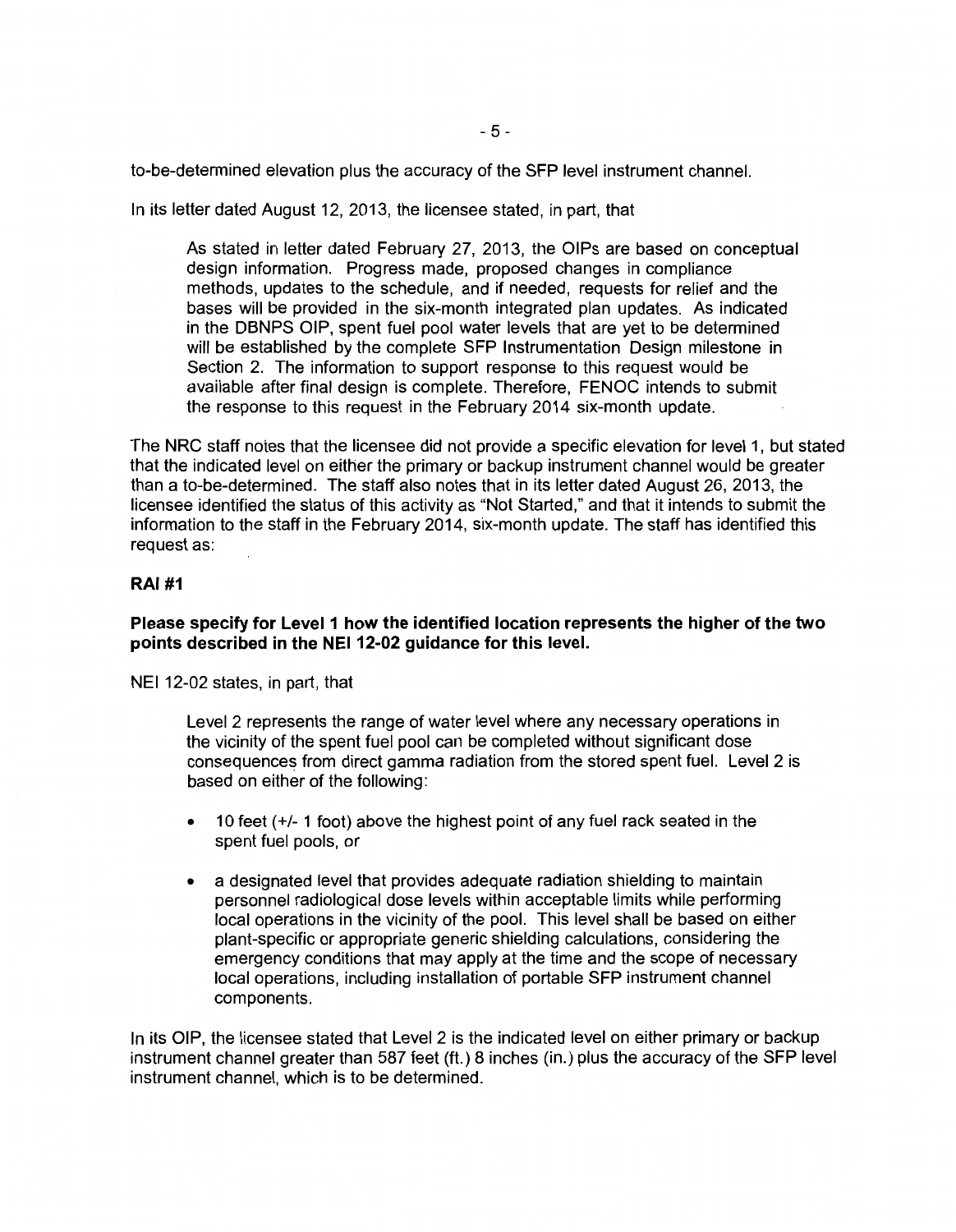to-be-determined elevation plus the accuracy of the SFP level instrument channel.

In its letter dated August 12, 2013, the licensee stated, in part, that

As stated in letter dated February 27, 2013, the OIPs are based on conceptual design information. Progress made, proposed changes in compliance methods, updates to the schedule, and if needed, requests for relief and the bases will be provided in the six-month integrated plan updates. As indicated in the DBNPS OIP, spent fuel pool water levels that are yet to be determined will be established by the complete SFP Instrumentation Design milestone in Section 2. The information to support response to this request would be available after final design is complete. Therefore, FENOC intends to submit the response to this request in the February 2014 six-month update.

The NRC staff notes that the licensee did not provide a specific elevation for level 1, but stated that the indicated level on either the primary or backup instrument channel would be greater than a to-be-determined. The staff also notes that in its letter dated August 26, 2013, the licensee identified the status of this activity as "Not Started," and that it intends to submit the information to the staff in the February 2014, six-month update. The staff has identified this request as:

## **RAI#1**

## **Please specify for Level 1 how the identified location represents the higher of the two**  points described in the NEI 12-02 guidance for this level.

NEI 12-02 states, in part, that

Level 2 represents the range of water level where any necessary operations in the vicinity of the spent fuel pool can be completed without significant dose consequences from direct gamma radiation from the stored spent fuel. Level 2 is based on either of the following:

- 10 feet ( +/- 1 foot) above the highest point of any fuel rack seated in the spent fuel pools, or
- a designated level that provides adequate radiation shielding to maintain personnel radiological dose levels within acceptable limits while performing local operations in the vicinity of the pool. This level shall be based on either plant-specific or appropriate generic shielding calculations, considering the emergency conditions that may apply at the time and the scope of necessary local operations, including installation of portable SFP instrument channel components.

In its OIP, the licensee stated that Level 2 is the indicated level on either primary or backup instrument channel greater than 587 feet (ft.) 8 inches (in.) plus the accuracy of the SFP level instrument channel, which is to be determined.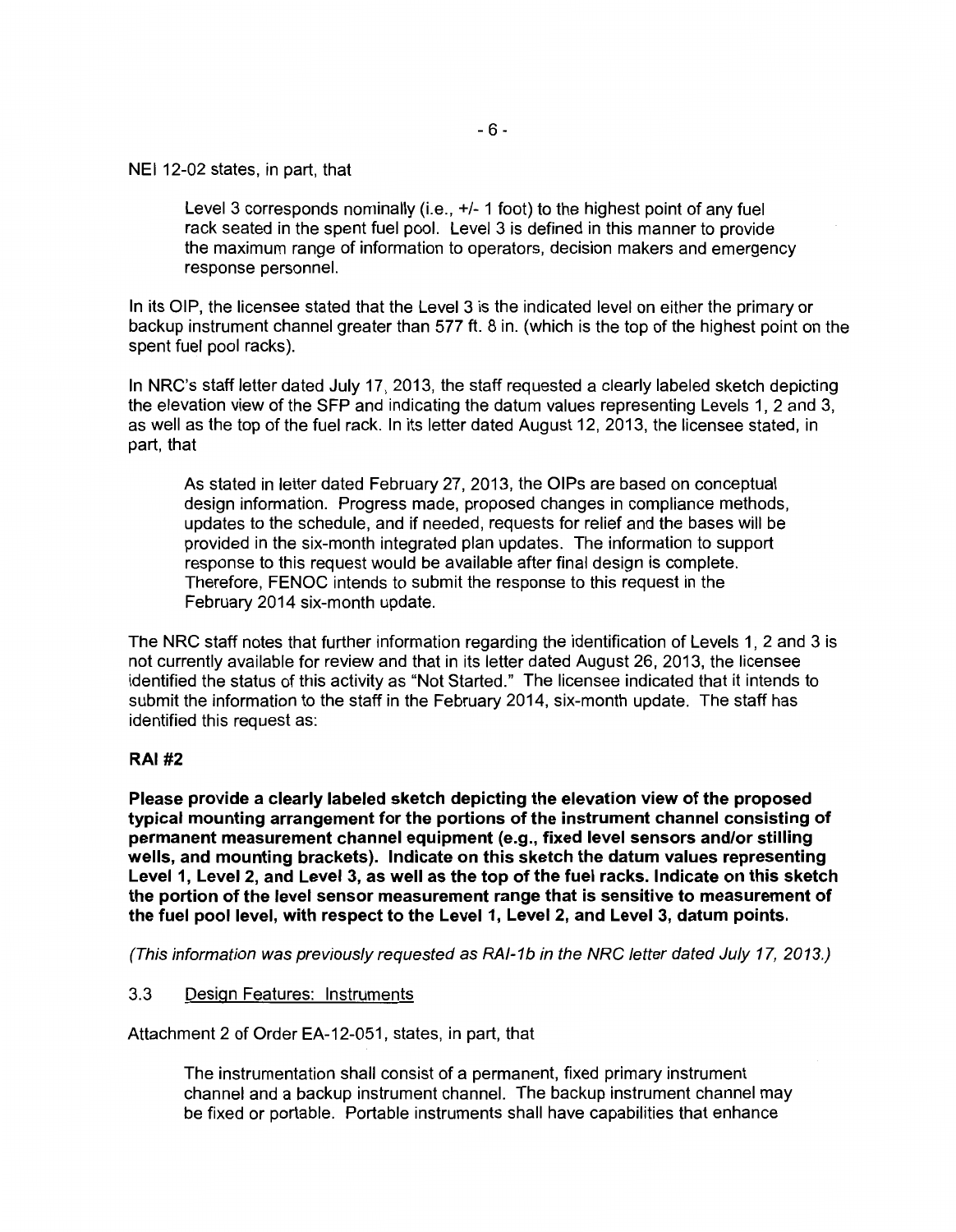NEI 12-02 states, in part, that

Level 3 corresponds nominally (i.e.,  $+/-1$  foot) to the highest point of any fuel rack seated in the spent fuel pool. Level 3 is defined in this manner to provide the maximum range of information to operators, decision makers and emergency response personnel.

In its OIP, the licensee stated that the Level 3 is the indicated level on either the primary or backup instrument channel greater than 577 ft. 8 in. (which is the top of the highest point on the spent fuel pool racks).

In NRC's staff letter dated July 17, 2013, the staff requested a clearly labeled sketch depicting the elevation view of the SFP and indicating the datum values representing Levels 1, 2 and 3, as well as the top of the fuel rack. In its letter dated August 12, 2013, the licensee stated, in part, that

As stated in letter dated February 27, 2013, the OIPs are based on conceptual design information. Progress made, proposed changes in compliance methods, updates to the schedule, and if needed, requests for relief and the bases will be provided in the six-month integrated plan updates. The information to support response to this request would be available after final design is complete. Therefore, FENOC intends to submit the response to this request in the February 2014 six-month update.

The NRC staff notes that further information regarding the identification of Levels 1, 2 and 3 is not currently available for review and that in its letter dated August 26, 2013, the licensee identified the status of this activity as "Not Started." The licensee indicated that it intends to submit the information to the staff in the February 2014, six-month update. The staff has identified this request as:

## **RAI#2**

**Please provide a clearly labeled sketch depicting the elevation view of the proposed typical mounting arrangement for the portions of the instrument channel consisting of permanent measurement channel equipment (e.g., fixed level sensors and/or stilling wells, and mounting brackets). Indicate on this sketch the datum values representing Level 1, Level 2, and Level 3, as well as the top of the fuel racks. Indicate on this sketch the portion of the level sensor measurement range that is sensitive to measurement of the fuel pool level, with respect to the Level 1, Level 2, and Level 3, datum points.** 

(This information was previously requested as RAI-1b in the NRC letter dated July 17, 2013.)

## 3.3 Design Features: Instruments

Attachment 2 of Order EA-12-051, states, in part, that

The instrumentation shall consist of a permanent, fixed primary instrument channel and a backup instrument channel. The backup instrument channel may be fixed or portable. Portable instruments shall have capabilities that enhance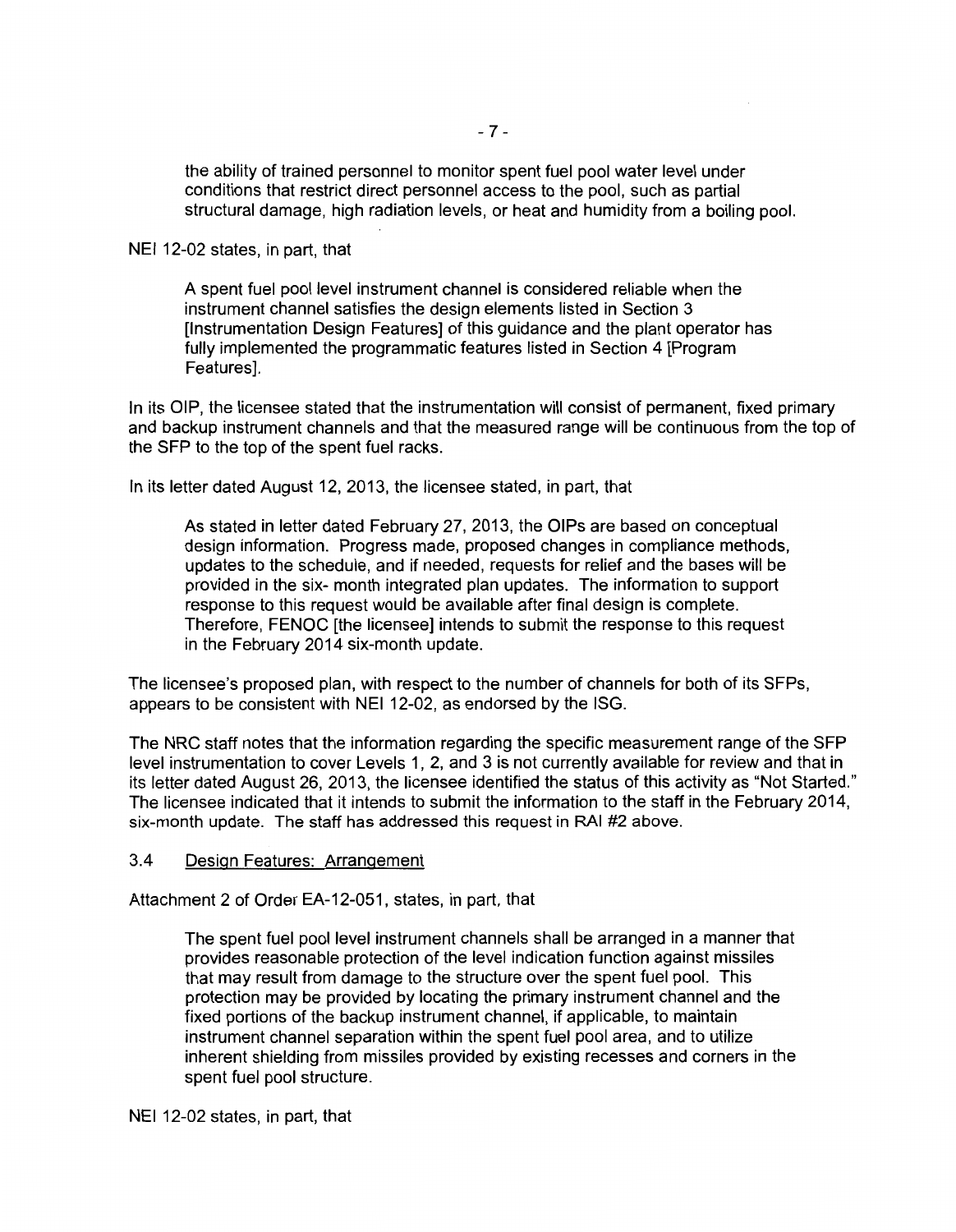the ability of trained personnel to monitor spent fuel pool water level under conditions that restrict direct personnel access to the pool, such as partial structural damage, high radiation levels, or heat and humidity from a boiling pool.

NEI 12-02 states, in part, that

A spent fuel pool level instrument channel is considered reliable when the instrument channel satisfies the design elements listed in Section 3 [Instrumentation Design Features] of this guidance and the plant operator has fully implemented the programmatic features listed in Section 4 [Program Features].

In its OIP, the licensee stated that the instrumentation will consist of permanent, fixed primary and backup instrument channels and that the measured range will be continuous from the top of the SFP to the top of the spent fuel racks.

In its letter dated August 12, 2013, the licensee stated, in part, that

As stated in letter dated February 27, 2013, the OIPs are based on conceptual design information. Progress made, proposed changes in compliance methods, updates to the schedule, and if needed, requests for relief and the bases will be provided in the six- month integrated plan updates. The information to support response to this request would be available after final design is complete. Therefore, FENOC [the licensee] intends to submit the response to this request in the February 2014 six-month update.

The licensee's proposed plan, with respect to the number of channels for both of its SFPs, appears to be consistent with NEI 12-02, as endorsed by the ISG.

The NRC staff notes that the information regarding the specific measurement range of the SFP level instrumentation to cover Levels 1, 2, and 3 is not currently available for review and that in its letter dated August 26, 2013, the licensee identified the status of this activity as "Not Started." The licensee indicated that it intends to submit the information to the staff in the February 2014, six-month update. The staff has addressed this request in RAI #2 above.

## 3.4 Design Features: Arrangement

Attachment 2 of Order EA-12-051, states, in part, that

The spent fuel pool level instrument channels shall be arranged in a manner that provides reasonable protection of the level indication function against missiles that may result from damage to the structure over the spent fuel pool. This protection may be provided by locating the primary instrument channel and the fixed portions of the backup instrument channel, if applicable, to maintain instrument channel separation within the spent fuel pool area, and to utilize inherent shielding from missiles provided by existing recesses and corners in the spent fuel pool structure.

NEI 12-02 states, in part, that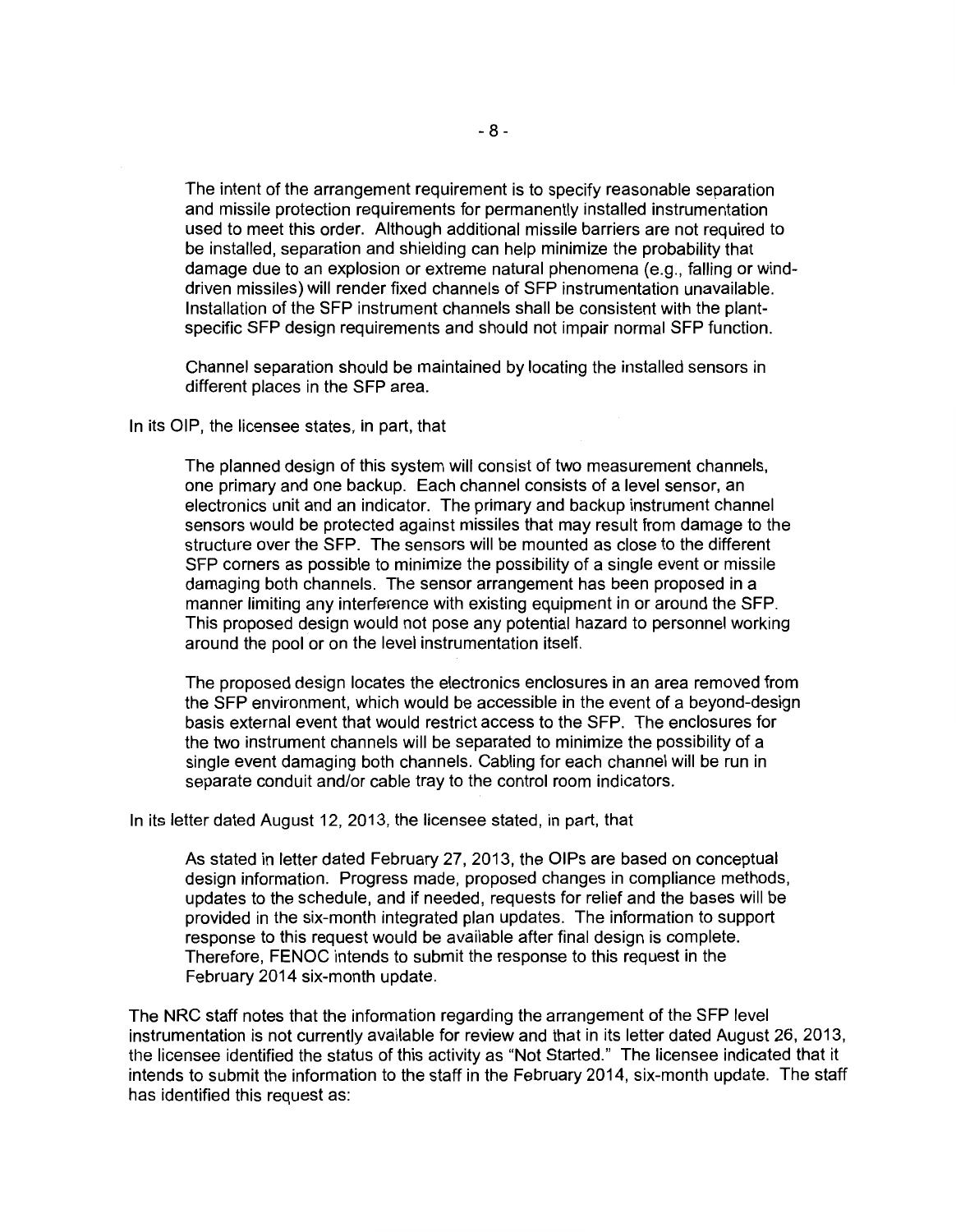The intent of the arrangement requirement is to specify reasonable separation and missile protection requirements for permanently installed instrumentation used to meet this order. Although additional missile barriers are not required to be installed, separation and shielding can help minimize the probability that damage due to an explosion or extreme natural phenomena (e.g., falling or winddriven missiles) will render fixed channels of SFP instrumentation unavailable. Installation of the SFP instrument channels shall be consistent with the plantspecific SFP design requirements and should not impair normal SFP function.

Channel separation should be maintained by locating the installed sensors in different places in the SFP area.

In its OIP, the licensee states, in part, that

The planned design of this system will consist of two measurement channels, one primary and one backup. Each channel consists of a level sensor, an electronics unit and an indicator. The primary and backup instrument channel sensors would be protected against missiles that may result from damage to the structure over the SFP. The sensors will be mounted as close to the different SFP corners as possible to minimize the possibility of a single event or missile damaging both channels. The sensor arrangement has been proposed in a manner limiting any interference with existing equipment in or around the SFP. This proposed design would not pose any potential hazard to personnel working around the pool or on the level instrumentation itself.

The proposed design locates the electronics enclosures in an area removed from the SFP environment, which would be accessible in the event of a beyond-design basis external event that would restrict access to the SFP. The enclosures for the two instrument channels will be separated to minimize the possibility of a single event damaging both channels. Cabling for each channel will be run in separate conduit and/or cable tray to the control room indicators.

In its letter dated August 12, 2013, the licensee stated, in part, that

As stated in letter dated February 27, 2013, the OIPs are based on conceptual design information. Progress made, proposed changes in compliance methods, updates to the schedule, and if needed, requests for relief and the bases will be provided in the six-month integrated plan updates. The information to support response to this request would be available after final design is complete. Therefore, FENOC intends to submit the response to this request in the February 2014 six-month update.

The NRC staff notes that the information regarding the arrangement of the SFP level instrumentation is not currently available for review and that in its letter dated August 26, 2013, the licensee identified the status of this activity as "Not Started." The licensee indicated that it intends to submit the information to the staff in the February 2014, six-month update. The staff has identified this request as: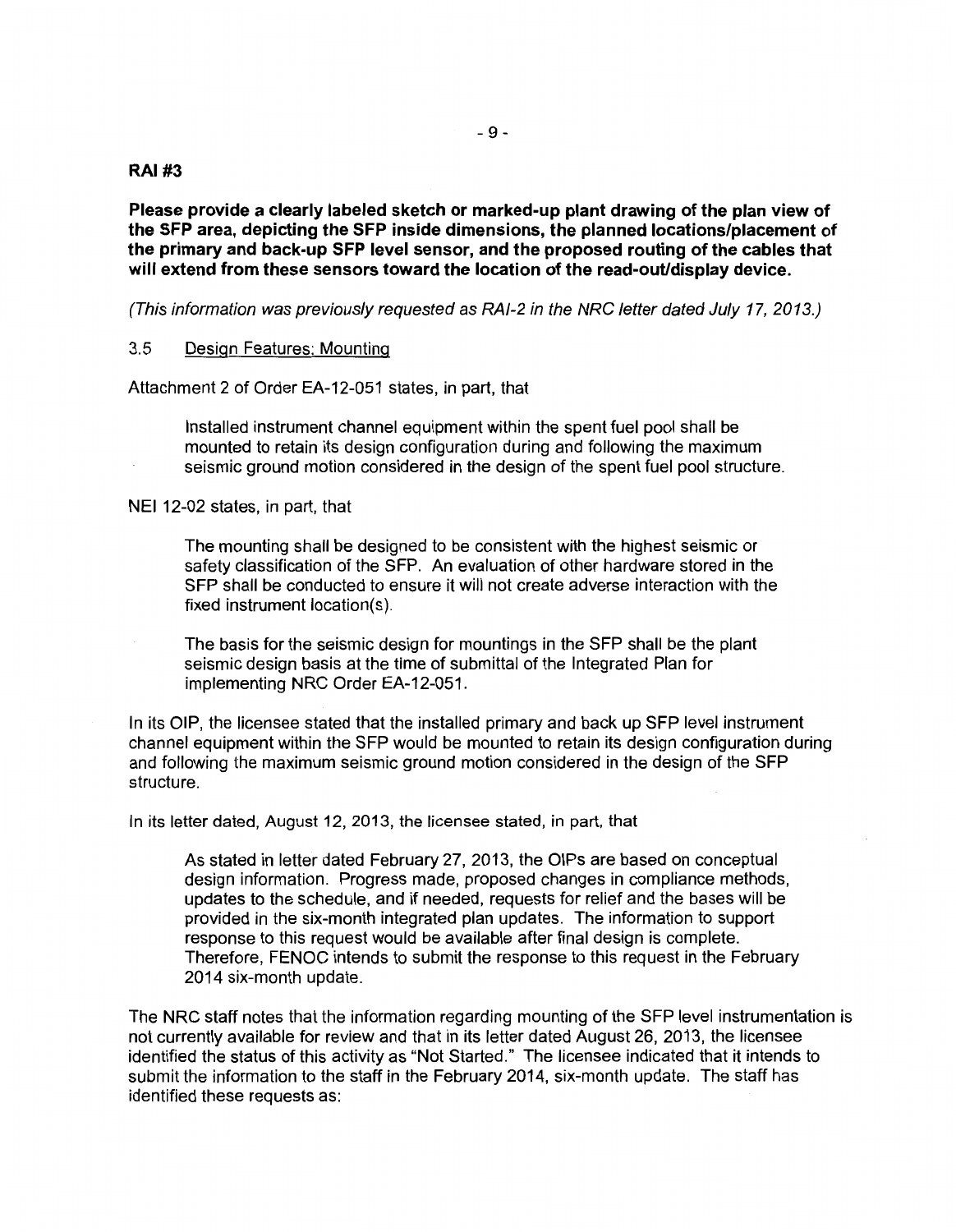#### **RAI#3**

**Please provide a clearly labeled sketch or marked-up plant drawing of the plan view of the SFP area, depicting the SFP inside dimensions, the planned locations/placement of the primary and back-up SFP level sensor, and the proposed routing of the cables that will extend from these sensors toward the location of the read-out/display device.** 

(This information was previously requested as RAI-2 in the NRC letter dated July 17, 2013.)

#### 3.5 Design Features: Mounting

Attachment 2 of Order EA-12-051 states, in part, that

Installed instrument channel equipment within the spent fuel pool shall be mounted to retain its design configuration during and following the maximum seismic ground motion considered in the design of the spent fuel pool structure.

NEI 12-02 states, in part, that

The mounting shall be designed to be consistent with the highest seismic or safety classification of the SFP. An evaluation of other hardware stored in the SFP shall be conducted to ensure it will not create adverse interaction with the fixed instrument location(s).

The basis for the seismic design for mountings in the SFP shall be the plant seismic design basis at the time of submittal of the Integrated Plan for implementing NRC Order EA-12-051.

In its OIP, the licensee stated that the installed primary and back up SFP level instrument channel equipment within the SFP would be mounted to retain its design configuration during and following the maximum seismic ground motion considered in the design of the SFP structure.

In its letter dated, August 12, 2013, the licensee stated, in part, that

As stated in letter dated February 27, 2013, the OIPs are based on conceptual design information. Progress made, proposed changes in compliance methods, updates to the schedule, and if needed, requests for relief and the bases will be provided in the six-month integrated plan updates. The information to support response to this request would be available after final design is complete. Therefore, FENOC intends to submit the response to this request in the February 2014 six-month update.

The NRC staff notes that the information regarding mounting of the SFP level instrumentation is not currently available for review and that in its letter dated August 26, 2013, the licensee identified the status of this activity as "Not Started." The licensee indicated that it intends to submit the information to the staff in the February 2014, six-month update. The staff has identified these requests as: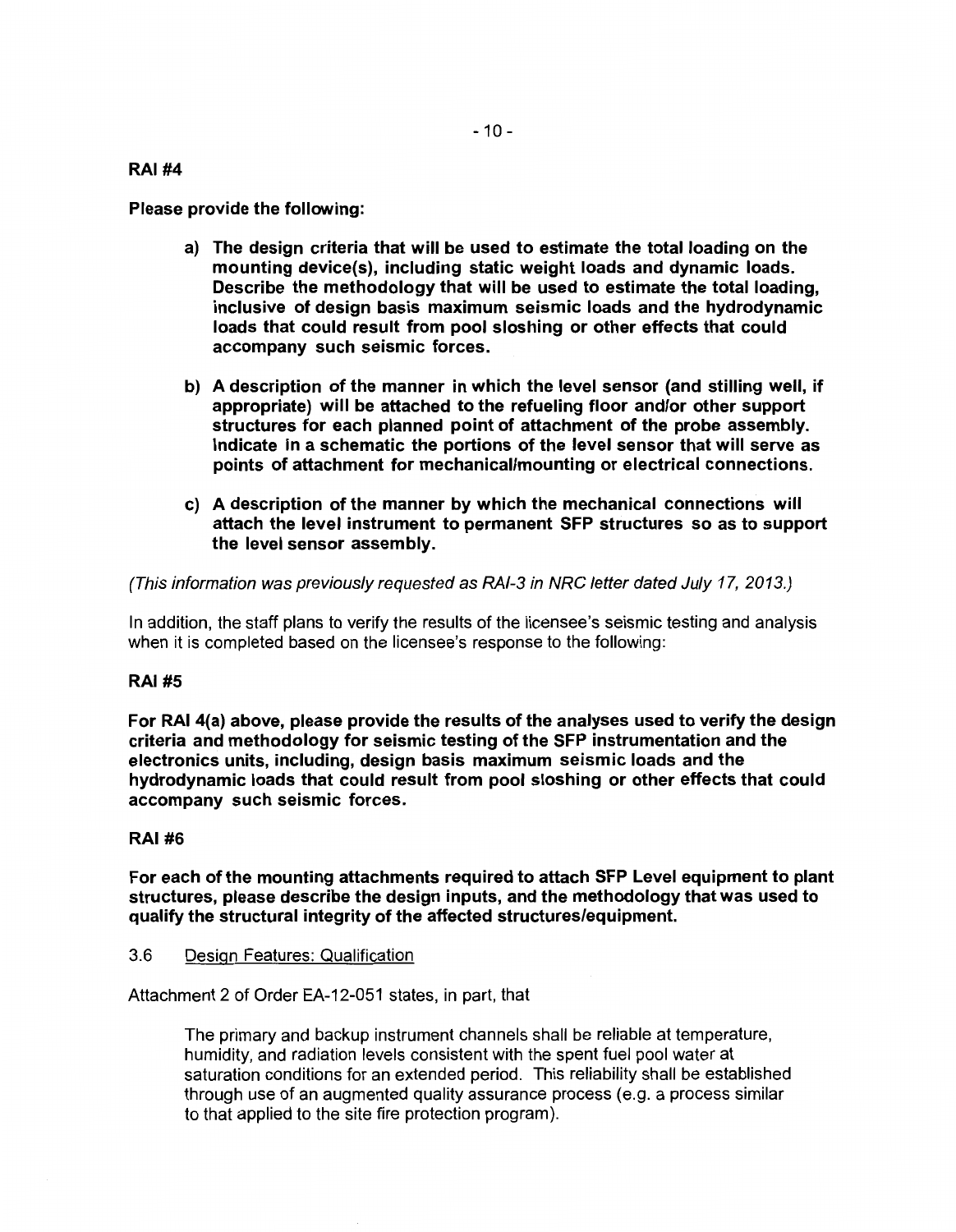#### RAI#4

Please provide the following:

- a) The design criteria that will be used to estimate the total loading on the mounting device(s), including static weight loads and dynamic loads. Describe the methodology that will be used to estimate the total loading, inclusive of design basis maximum seismic loads and the hydrodynamic loads that could result from pool sloshing or other effects that could accompany such seismic forces.
- b) A description of the manner in which the level sensor (and stilling well, if appropriate) will be attached to the refueling floor and/or other support structures for each planned point of attachment of the probe assembly. Indicate in a schematic the portions of the level sensor that will serve as points of attachment for mechanical/mounting or electrical connections.
- c) A description of the manner by which the mechanical connections will attach the level instrument to permanent SFP structures so as to support the level sensor assembly.

(This information was previously requested as RAI-3 in NRC letter dated July 17, 2013.)

In addition, the staff plans to verify the results of the licensee's seismic testing and analysis when it is completed based on the licensee's response to the following:

## RAI#S

For RAI 4(a) above, please provide the results of the analyses used to verify the design criteria and methodology for seismic testing of the SFP instrumentation and the electronics units, including, design basis maximum seismic loads and the hydrodynamic loads that could result from pool sloshing or other effects that could accompany such seismic forces.

## RAI#6

For each of the mounting attachments required to attach SFP Level equipment to plant structures, please describe the design inputs, and the methodology that was used to qualify the structural integrity of the affected structures/equipment.

#### 3.6 Design Features: Qualification

Attachment 2 of Order EA-12-051 states, in part, that

The primary and backup instrument channels shall be reliable at temperature, humidity, and radiation levels consistent with the spent fuel pool water at saturation conditions for an extended period. This reliability shall be established through use of an augmented quality assurance process (e.g. a process similar to that applied to the site fire protection program).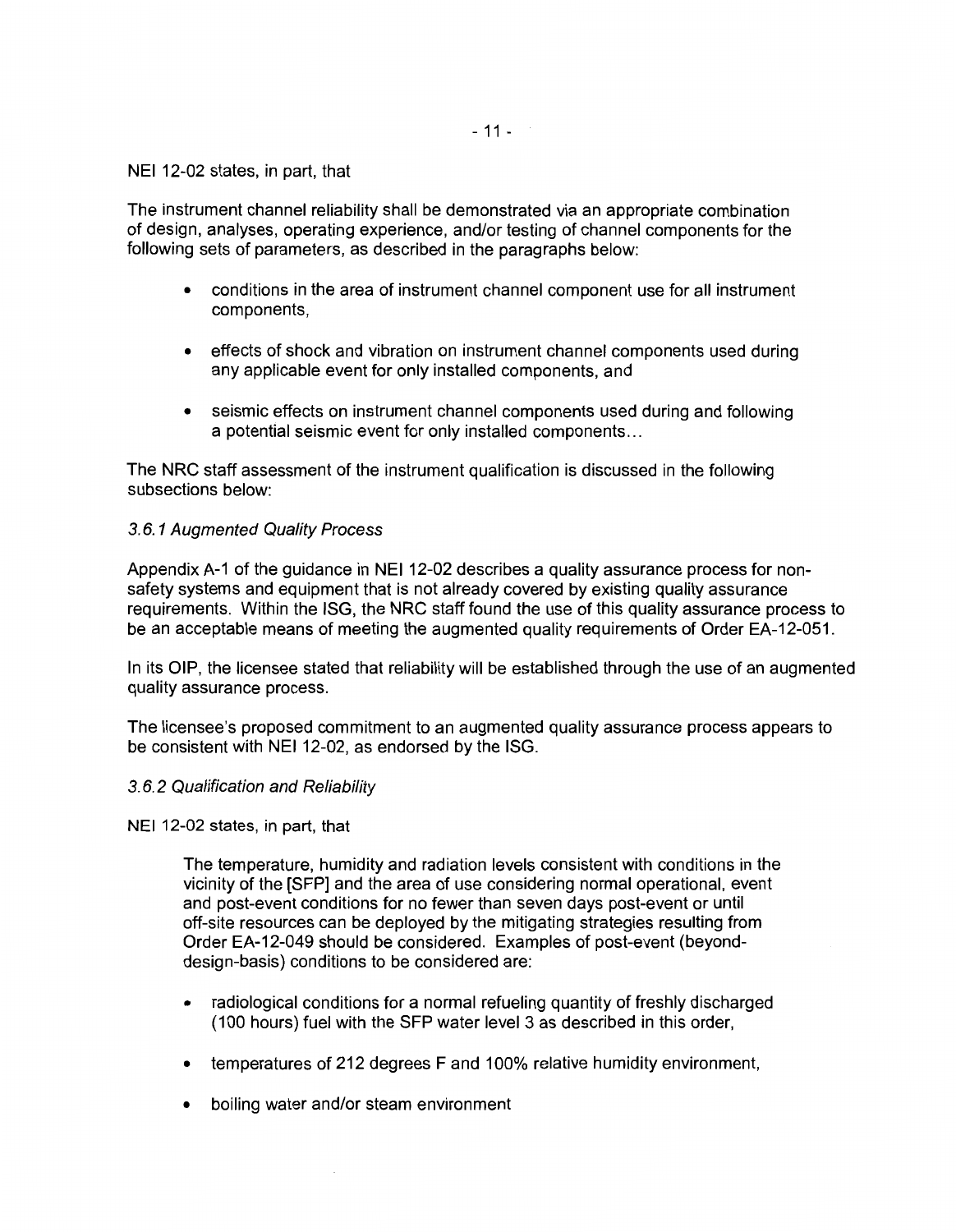$-11 - 1$ 

NEI 12-02 states, in part, that

The instrument channel reliability shall be demonstrated via an appropriate combination of design, analyses, operating experience, and/or testing of channel components for the following sets of parameters, as described in the paragraphs below:

- conditions in the area of instrument channel component use for all instrument components,
- effects of shock and vibration on instrument channel components used during any applicable event for only installed components, and
- seismic effects on instrument channel components used during and following a potential seismic event for only installed components ...

The NRC staff assessment of the instrument qualification is discussed in the following subsections below:

## 3. 6. 1 Augmented Quality Process

Appendix A-1 of the guidance in NEI 12-02 describes a quality assurance process for nonsafety systems and equipment that is not already covered by existing quality assurance requirements. Within the ISG, the NRC staff found the use of this quality assurance process to be an acceptable means of meeting the augmented quality requirements of Order EA-12-051.

In its OIP, the licensee stated that reliability will be established through the use of an augmented quality assurance process.

The licensee's proposed commitment to an augmented quality assurance process appears to be consistent with NEI 12-02, as endorsed by the ISG.

#### 3. 6. 2 Qualification and Reliability

NEI 12-02 states, in part, that

The temperature, humidity and radiation levels consistent with conditions in the vicinity of the [SFP] and the area of use considering normal operational, event and post-event conditions for no fewer than seven days post-event or until off-site resources can be deployed by the mitigating strategies resulting from Order EA-12-049 should be considered. Examples of post-event (beyonddesign-basis) conditions to be considered are:

- radiological conditions for a normal refueling quantity of freshly discharged ( 100 hours) fuel with the SFP water level 3 as described in this order,
- temperatures of 212 degrees F and 100% relative humidity environment,
- boiling water and/or steam environment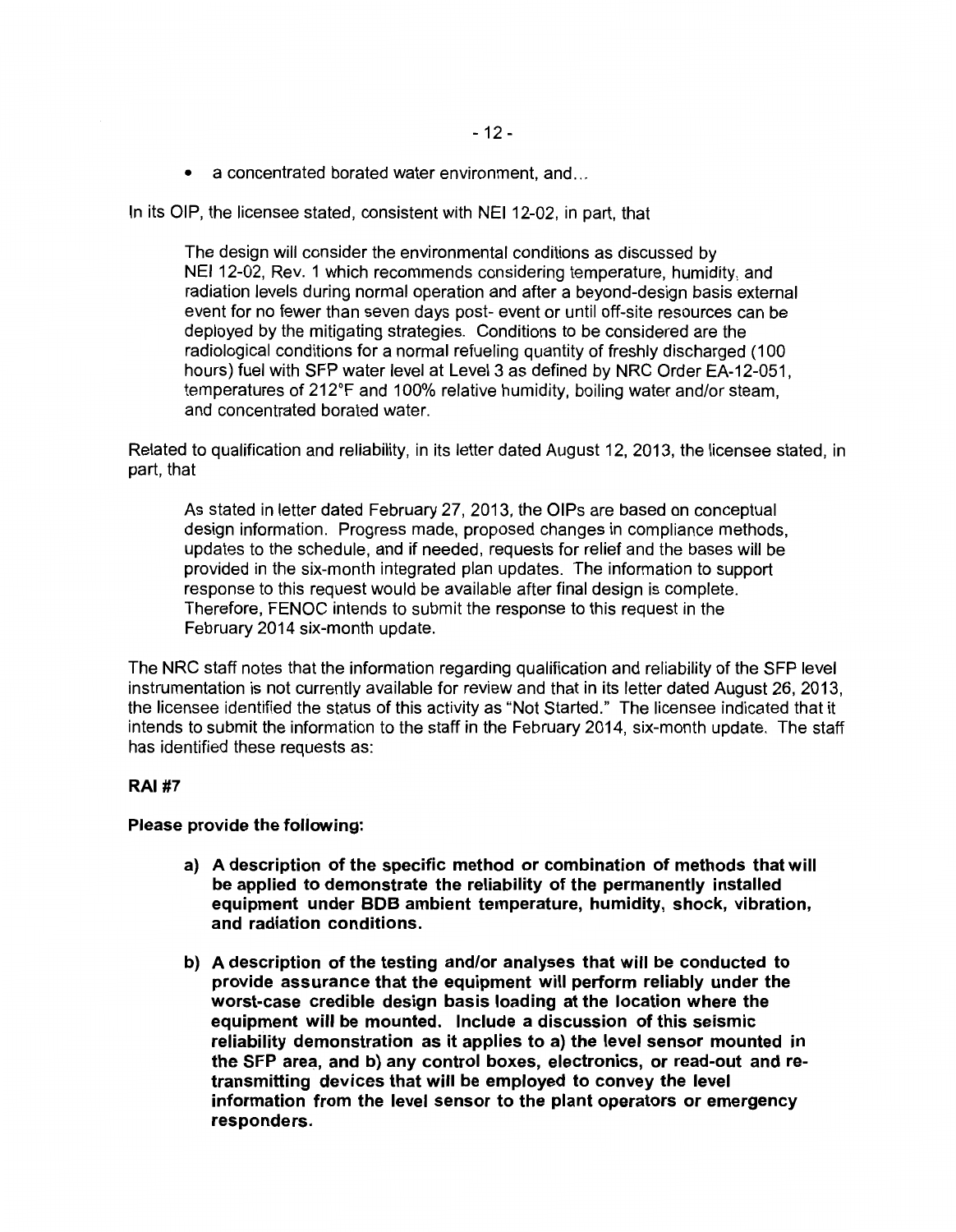• a concentrated borated water environment, and...

In its OIP, the licensee stated, consistent with NEI 12-02, in part, that

The design will consider the environmental conditions as discussed by NEI 12-02, Rev. 1 which recommends considering temperature, humidity, and radiation levels during normal operation and after a beyond-design basis external event for no fewer than seven days post- event or until off-site resources can be deployed by the mitigating strategies. Conditions to be considered are the radiological conditions for a normal refueling quantity of freshly discharged ( 100 hours) fuel with SFP water level at Level 3 as defined by NRC Order EA-12-051. temperatures of 212°F and 100% relative humidity, boiling water and/or steam, and concentrated borated water.

Related to qualification and reliability, in its letter dated August 12, 2013, the licensee stated, in part, that

As stated in letter dated February 27, 2013, the OIPs are based on conceptual design information. Progress made, proposed changes in compliance methods, updates to the schedule, and if needed, requests for relief and the bases will be provided in the six-month integrated plan updates. The information to support response to this request would be available after final design is complete. Therefore, FENOC intends to submit the response to this request in the February 2014 six-month update.

The NRC staff notes that the information regarding qualification and reliability of the SFP level instrumentation is not currently available for review and that in its letter dated August 26, 2013, the licensee identified the status of this activity as "Not Started." The licensee indicated that it intends to submit the information to the staff in the February 2014, six-month update. The staff has identified these requests as:

## **RAI#7**

#### **Please provide the following:**

- **a) A description of the specific method or combination of methods that will be applied to demonstrate the reliability of the permanently installed equipment under BOB ambient temperature, humidity, shock, vibration, and radiation conditions.**
- **b) A description of the testing and/or analyses that will be conducted to provide assurance that the equipment will perform reliably under the worst-case credible design basis loading at the location where the equipment will be mounted. Include a discussion of this seismic reliability demonstration as it applies to a) the level sensor mounted in the SFP area, and b) any control boxes, electronics, or read-out and retransmitting devices that will be employed to convey the level information from the level sensor to the plant operators or emergency responders.**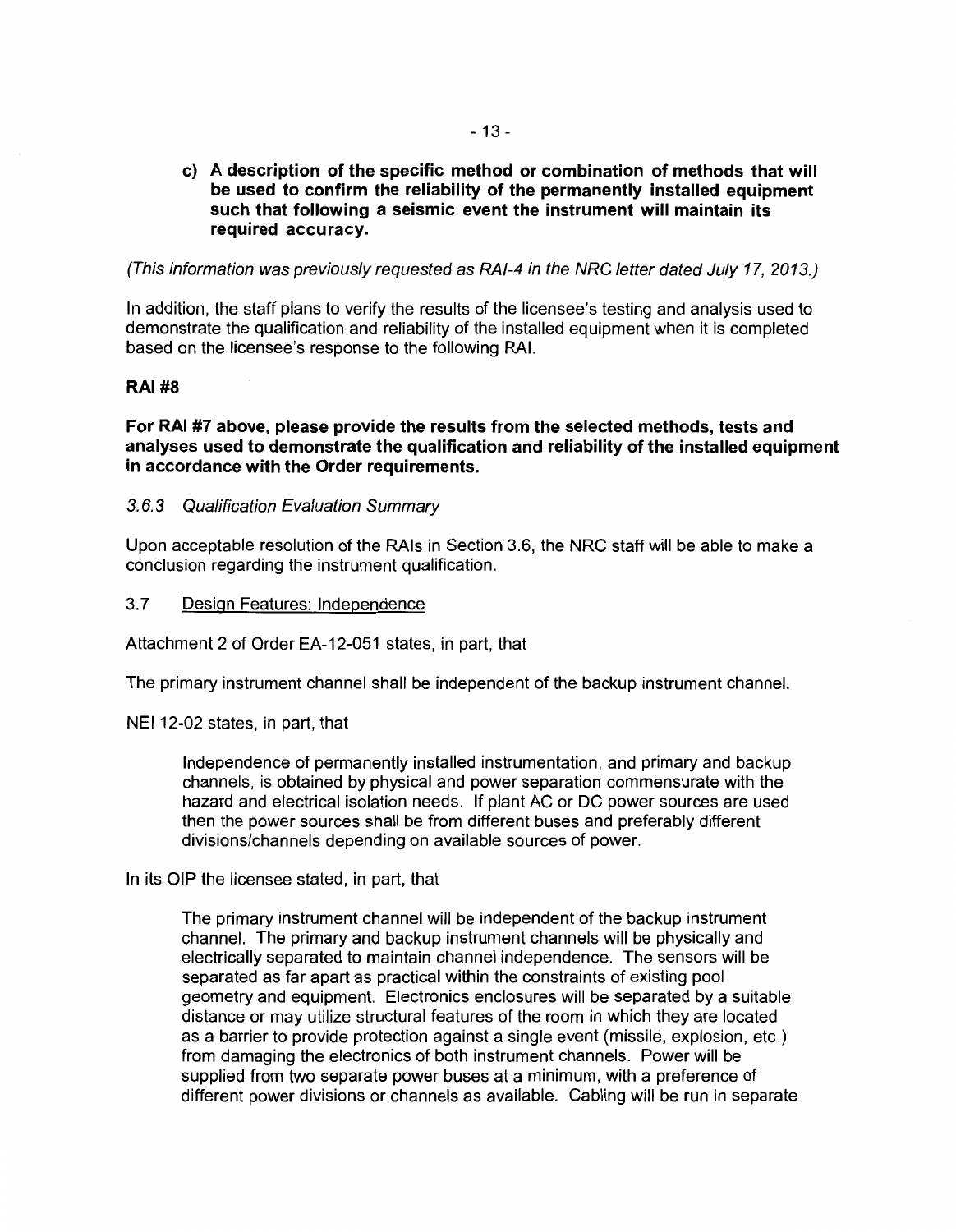**c) A description of the specific method or combination of methods that will be used to confirm the reliability of the permanently installed equipment such that following a seismic event the instrument will maintain its required accuracy.** 

(This information was previously requested as RAI-4 in the NRC letter dated July 17, 2013.)

In addition, the staff plans to verify the results of the licensee's testing and analysis used to demonstrate the qualification and reliability of the installed equipment when it is completed based on the licensee's response to the following RAI.

## **RAI#8**

**For RAI #7 above, please provide the results from the selected methods, tests and analyses used to demonstrate the qualification and reliability of the installed equipment in accordance with the Order requirements.** 

## 3.6.3 Qualification Evaluation Summary

Upon acceptable resolution of the RAis in Section 3.6, the NRC staff will be able to make a conclusion regarding the instrument qualification.

#### 3.7 Design Features: Independence

Attachment 2 of Order EA-12-051 states, in part, that

The primary instrument channel shall be independent of the backup instrument channel.

NEI 12-02 states, in part, that

Independence of permanently installed instrumentation, and primary and backup channels, is obtained by physical and power separation commensurate with the hazard and electrical isolation needs. If plant AC or DC power sources are used then the power sources shall be from different buses and preferably different divisions/channels depending on available sources of power.

In its OIP the licensee stated, in part, that

The primary instrument channel will be independent of the backup instrument channel. The primary and backup instrument channels will be physically and electrically separated to maintain channel independence. The sensors will be separated as far apart as practical within the constraints of existing pool geometry and equipment. Electronics enclosures will be separated by a suitable distance or may utilize structural features of the room in which they are located as a barrier to provide protection against a single event (missile, explosion, etc.) from damaging the electronics of both instrument channels. Power will be supplied from two separate power buses at a minimum, with a preference of different power divisions or channels as available. Cabling will be run in separate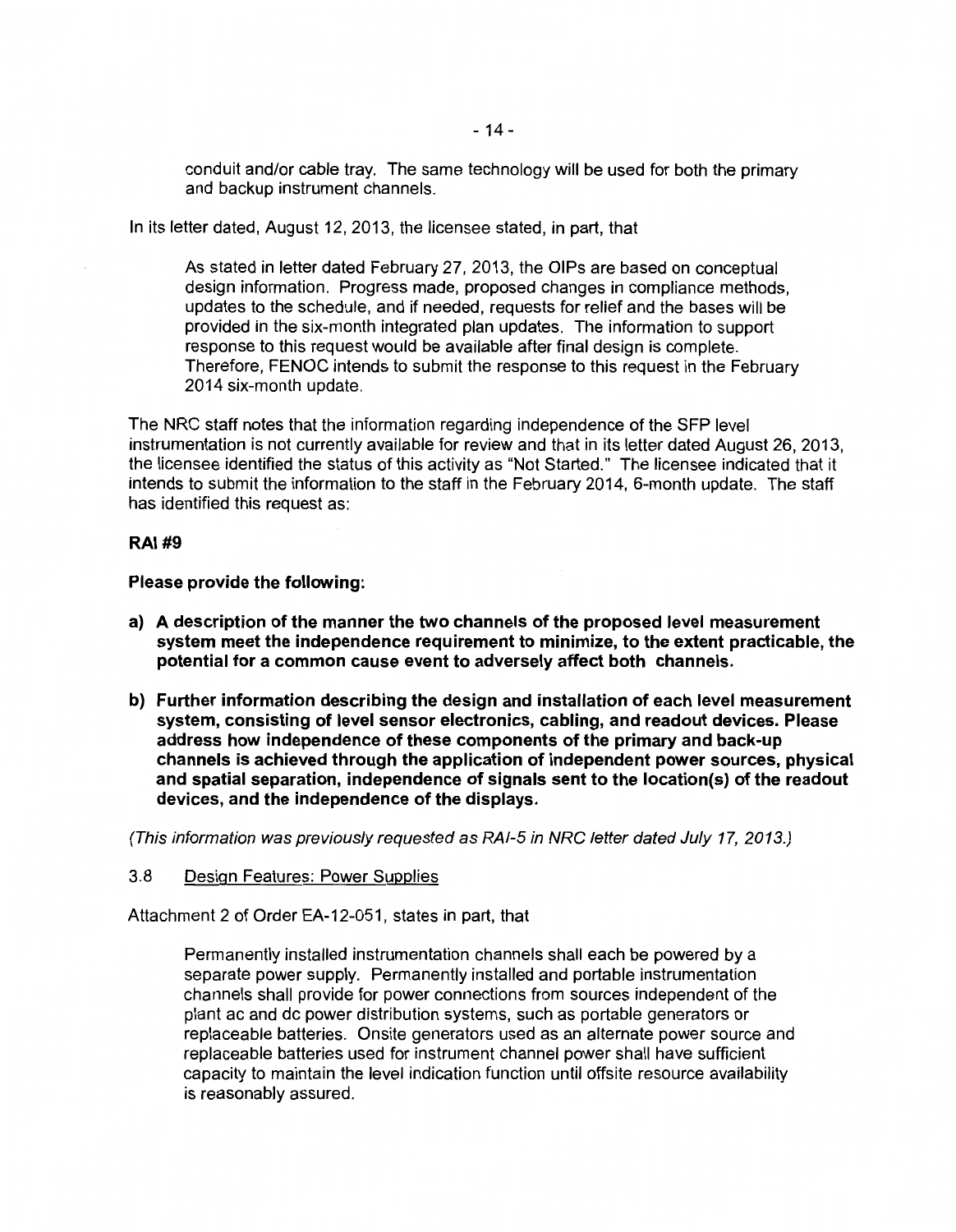conduit and/or cable tray. The same technology will be used for both the primary and backup instrument channels.

In its letter dated, August 12, 2013, the licensee stated, in part, that

As stated in letter dated February 27, 2013, the OIPs are based on conceptual design information. Progress made, proposed changes in compliance methods, updates to the schedule, and if needed, requests for relief and the bases will be provided in the six-month integrated plan updates. The information to support response to this request would be available after final design is complete. Therefore, FENOC intends to submit the response to this request in the February 2014 six-month update.

The NRC staff notes that the information regarding independence of the SFP level instrumentation is not currently available for review and that in its letter dated August 26, 2013, the licensee identified the status of this activity as "Not Started." The licensee indicated that it intends to submit the information to the staff in the February 2014, 6-month update. The staff has identified this request as:

#### **RAI#9**

**Please provide the following:** 

- **a) A description of the manner the two channels of the proposed level measurement system meet the independence requirement to minimize, to the extent practicable, the potential for a common cause event to adversely affect both channels.**
- **b) Further information describing the design and installation of each level measurement system, consisting of level sensor electronics, cabling, and readout devices. Please address how independence of these components of the primary and back-up channels is achieved through the application of independent power sources, physical and spatial separation, independence of signals sent to the location(s) of the readout devices, and the independence of the displays.**

(This information was previously requested as RAI-5 in NRC letter dated July 17, 2013.)

3.8 Design Features: Power Supplies

Attachment 2 of Order EA-12-051, states in part, that

Permanently installed instrumentation channels shall each be powered by a separate power supply. Permanently installed and portable instrumentation channels shall provide for power connections from sources independent of the plant ac and de power distribution systems, such as portable generators or replaceable batteries. Onsite generators used as an alternate power source and replaceable batteries used for instrument channel power shall have sufficient capacity to maintain the level indication function until offsite resource availability is reasonably assured.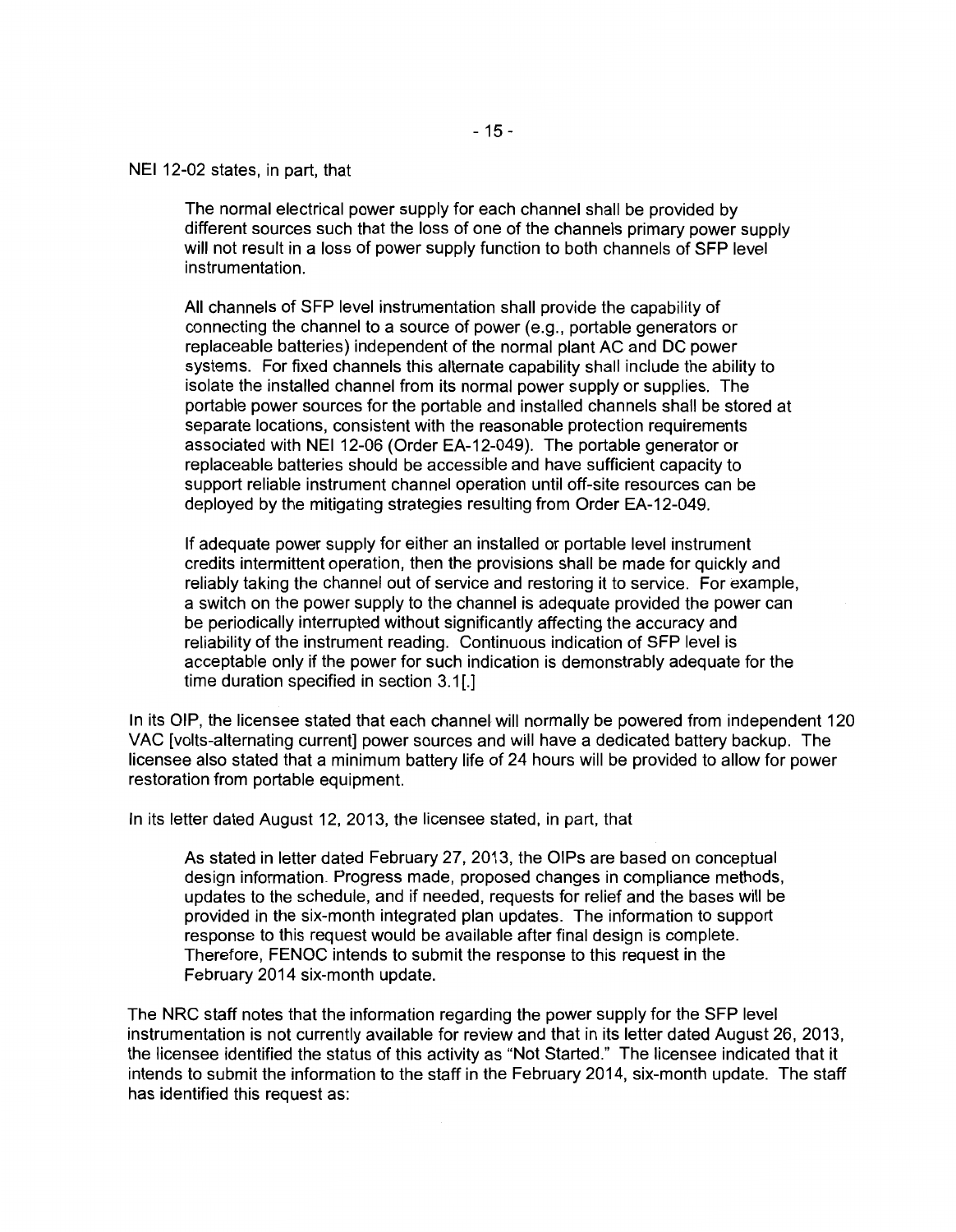NEI 12-02 states, in part, that

The normal electrical power supply for each channel shall be provided by different sources such that the loss of one of the channels primary power supply will not result in a loss of power supply function to both channels of SFP level instrumentation.

All channels of SFP level instrumentation shall provide the capability of connecting the channel to a source of power (e.g., portable generators or replaceable batteries) independent of the normal plant AC and DC power systems. For fixed channels this alternate capability shall include the ability to isolate the installed channel from its normal power supply or supplies. The portable power sources for the portable and installed channels shall be stored at separate locations, consistent with the reasonable protection requirements associated with NEI 12-06 (Order EA-12-049). The portable generator or replaceable batteries should be accessible and have sufficient capacity to support reliable instrument channel operation until off-site resources can be deployed by the mitigating strategies resulting from Order EA-12-049.

If adequate power supply for either an installed or portable level instrument credits intermittent operation, then the provisions shall be made for quickly and reliably taking the channel out of service and restoring it to service. For example, a switch on the power supply to the channel is adequate provided the power can be periodically interrupted without significantly affecting the accuracy and reliability of the instrument reading. Continuous indication of SFP level is acceptable only if the power for such indication is demonstrably adequate for the time duration specified in section 3.1[.]

In its OIP, the licensee stated that each channel will normally be powered from independent 120 VAC [volts-alternating current] power sources and will have a dedicated battery backup. The licensee also stated that a minimum battery life of 24 hours will be provided to allow for power restoration from portable equipment.

In its letter dated August 12, 2013, the licensee stated, in part, that

As stated in letter dated February 27, 2013, the OIPs are based on conceptual design information. Progress made, proposed changes in compliance methods, updates to the schedule, and if needed, requests for relief and the bases will be provided in the six-month integrated plan updates. The information to support response to this request would be available after final design is complete. Therefore, FENOC intends to submit the response to this request in the February 2014 six-month update.

The NRC staff notes that the information regarding the power supply for the SFP level instrumentation is not currently available for review and that in its letter dated August 26, 2013, the licensee identified the status of this activity as "Not Started." The licensee indicated that it intends to submit the information to the staff in the February 2014, six-month update. The staff has identified this request as: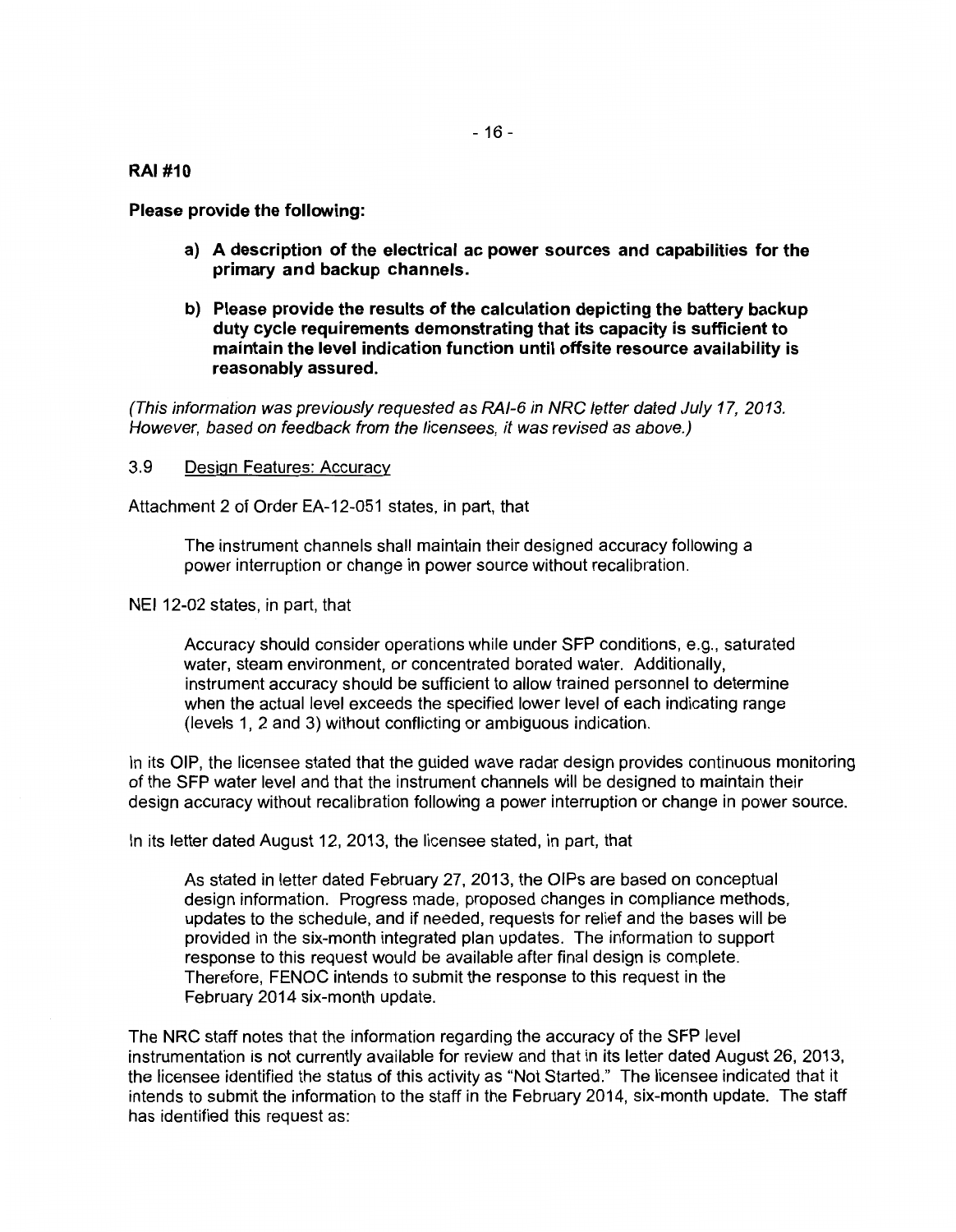**RAJ #10** 

**Please provide the following:** 

- **a) A description of the electrical ac power sources and capabilities for the primary and backup channels.**
- **b) Please provide the results of the calculation depicting the battery backup duty cycle requirements demonstrating that its capacity is sufficient to maintain the level indication function until offsite resource availability is reasonably assured.**

(This information was previously requested as RAI-6 in NRC letter dated July 17, 2013. However, based on feedback from the licensees, it was revised as above.)

## 3.9 Design Features: Accuracy

Attachment 2 of Order EA-12-051 states, in part, that

The instrument channels shall maintain their designed accuracy following a power interruption or change in power source without recalibration.

NEI 12-02 states, in part, that

Accuracy should consider operations while under SFP conditions, e.g., saturated water, steam environment, or concentrated borated water. Additionally, instrument accuracy should be sufficient to allow trained personnel to determine when the actual level exceeds the specified lower level of each indicating range (levels 1, 2 and 3) without conflicting or ambiguous indication.

In its OIP, the licensee stated that the guided wave radar design provides continuous monitoring of the SFP water level and that the instrument channels will be designed to maintain their design accuracy without recalibration following a power interruption or change in power source.

In its letter dated August 12, 2013, the licensee stated, in part, that

As stated in letter dated February 27, 2013, the OIPs are based on conceptual design information. Progress made, proposed changes in compliance methods, updates to the schedule, and if needed, requests for relief and the bases will be provided in the six-month integrated plan updates. The information to support response to this request would be available after final design is complete. Therefore, FENOC intends to submit the response to this request in the February 2014 six-month update.

The NRC staff notes that the information regarding the accuracy of the SFP level instrumentation is not currently available for review and that in its letter dated August 26, 2013, the licensee identified the status of this activity as "Not Started." The licensee indicated that it intends to submit the information to the staff in the February 2014, six-month update. The staff has identified this request as: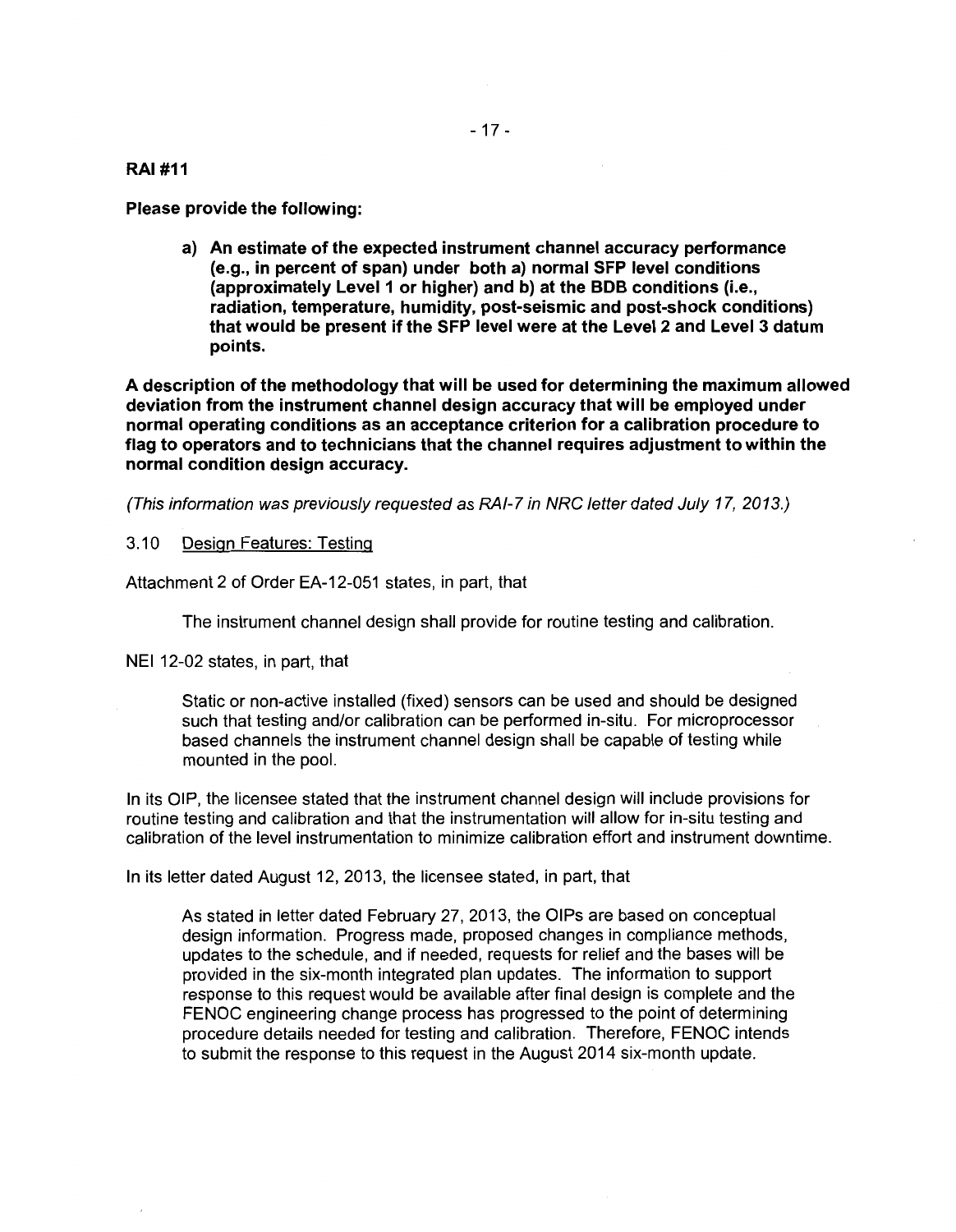#### **RAJ #11**

**Please provide the following:** 

**a) An estimate of the expected instrument channel accuracy performance (e.g., in percent of span) under both a) normal SFP level conditions (approximately Level1 or higher) and b) at the BOB conditions (i.e., radiation, temperature, humidity, post-seismic and post-shock conditions) that would be present if the SFP level were at the Level 2 and Level 3 datum points.** 

**A description of the methodology that will be used for determining the maximum allowed deviation from the instrument channel design accuracy that will be employed under normal operating conditions as an acceptance criterion for a calibration procedure to flag to operators and to technicians that the channel requires adjustment to within the normal condition design accuracy.** 

(This information was previously requested as RAI-7 in NRC letter dated July 17, 2013.)

## 3.10 Design Features: Testing

Attachment 2 of Order EA-12-051 states, in part, that

The instrument channel design shall provide for routine testing and calibration.

NEI 12-02 states, in part, that

Static or non-active installed (fixed) sensors can be used and should be designed such that testing and/or calibration can be performed in-situ. For microprocessor based channels the instrument channel design shall be capable of testing while mounted in the pool.

In its OIP, the licensee stated that the instrument channel design will include provisions for routine testing and calibration and that the instrumentation will allow for in-situ testing and calibration of the level instrumentation to minimize calibration effort and instrument downtime.

In its letter dated August 12, 2013, the licensee stated, in part, that

As stated in letter dated February 27, 2013, the OIPs are based on conceptual design information. Progress made, proposed changes in compliance methods, updates to the schedule, and if needed, requests for relief and the bases will be provided in the six-month integrated plan updates. The information to support response to this request would be available after final design is complete and the FENOC engineering change process has progressed to the point of determining procedure details needed for testing and calibration. Therefore, FENOC intends to submit the response to this request in the August 2014 six-month update.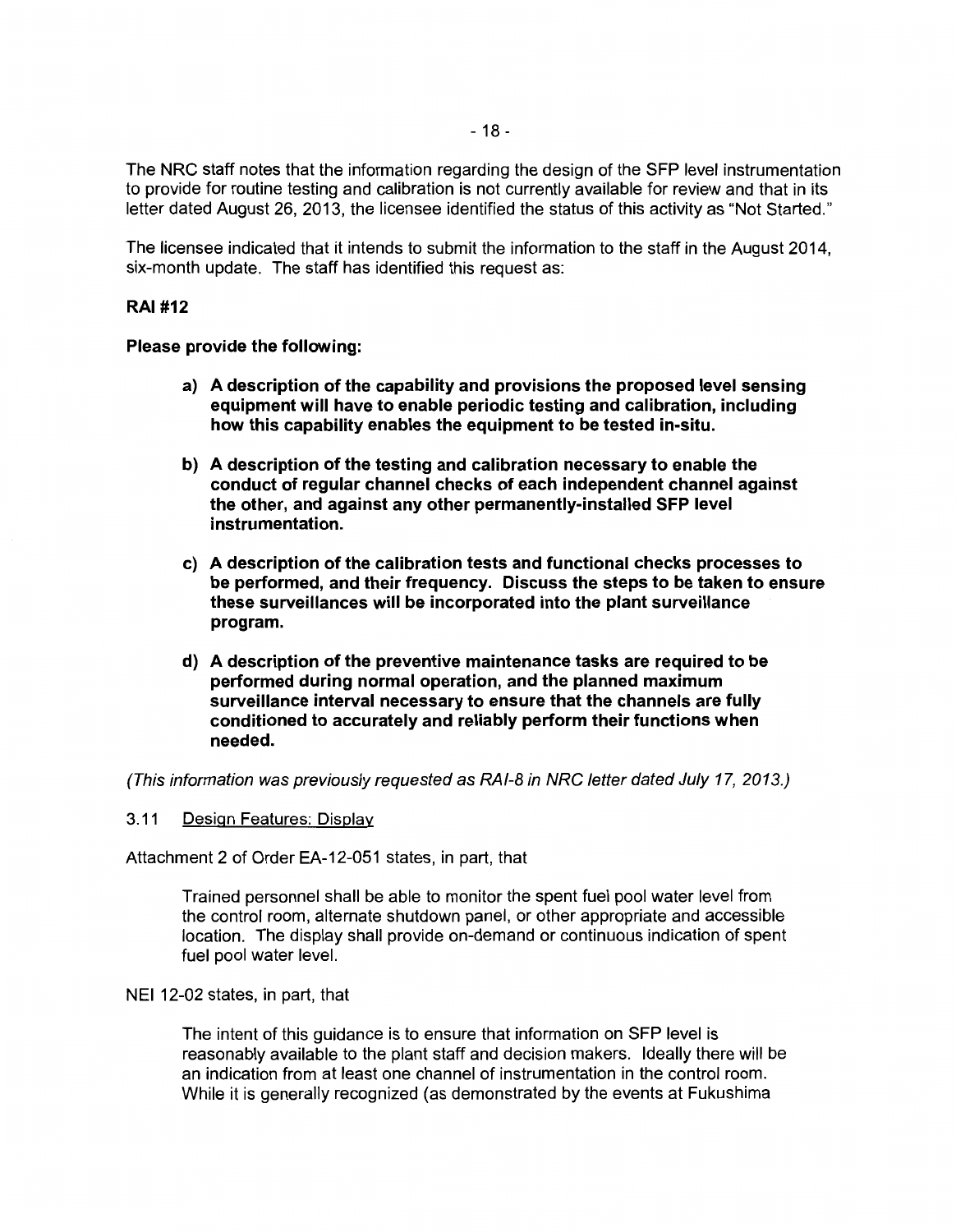The NRC staff notes that the information regarding the design of the SFP level instrumentation to provide for routine testing and calibration is not currently available for review and that in its letter dated August 26, 2013, the licensee identified the status of this activity as "Not Started."

The licensee indicated that it intends to submit the information to the staff in the August 2014, six-month update. The staff has identified this request as:

## RAI #12

#### Please provide the following:

- a) A description of the capability and provisions the proposed level sensing equipment will have to enable periodic testing and calibration, including how this capability enables the equipment to be tested in-situ.
- b) A description of the testing and calibration necessary to enable the conduct of regular channel checks of each independent channel against the other, and against any other permanently-installed SFP level instrumentation.
- c) A description of the calibration tests and functional checks processes to be performed, and their frequency. Discuss the steps to be taken to ensure these surveillances will be incorporated into the plant surveillance program.
- d) A description of the preventive maintenance tasks are required to be performed during normal operation, and the planned maximum surveillance interval necessary to ensure that the channels are fully conditioned to accurately and reliably perform their functions when needed.

(This information was previously requested as RAI-8 in NRC letter dated July 17, 2013.)

3. 11 Design Features: Display

Attachment 2 of Order EA-12-051 states, in part, that

Trained personnel shall be able to monitor the spent fuel pool water level from the control room, alternate shutdown panel, or other appropriate and accessible location. The display shall provide on-demand or continuous indication of spent fuel pool water level.

#### NEI 12-02 states, in part, that

The intent of this guidance is to ensure that information on SFP level is reasonably available to the plant staff and decision makers. Ideally there will be an indication from at least one channel of instrumentation in the control room. While it is generally recognized (as demonstrated by the events at Fukushima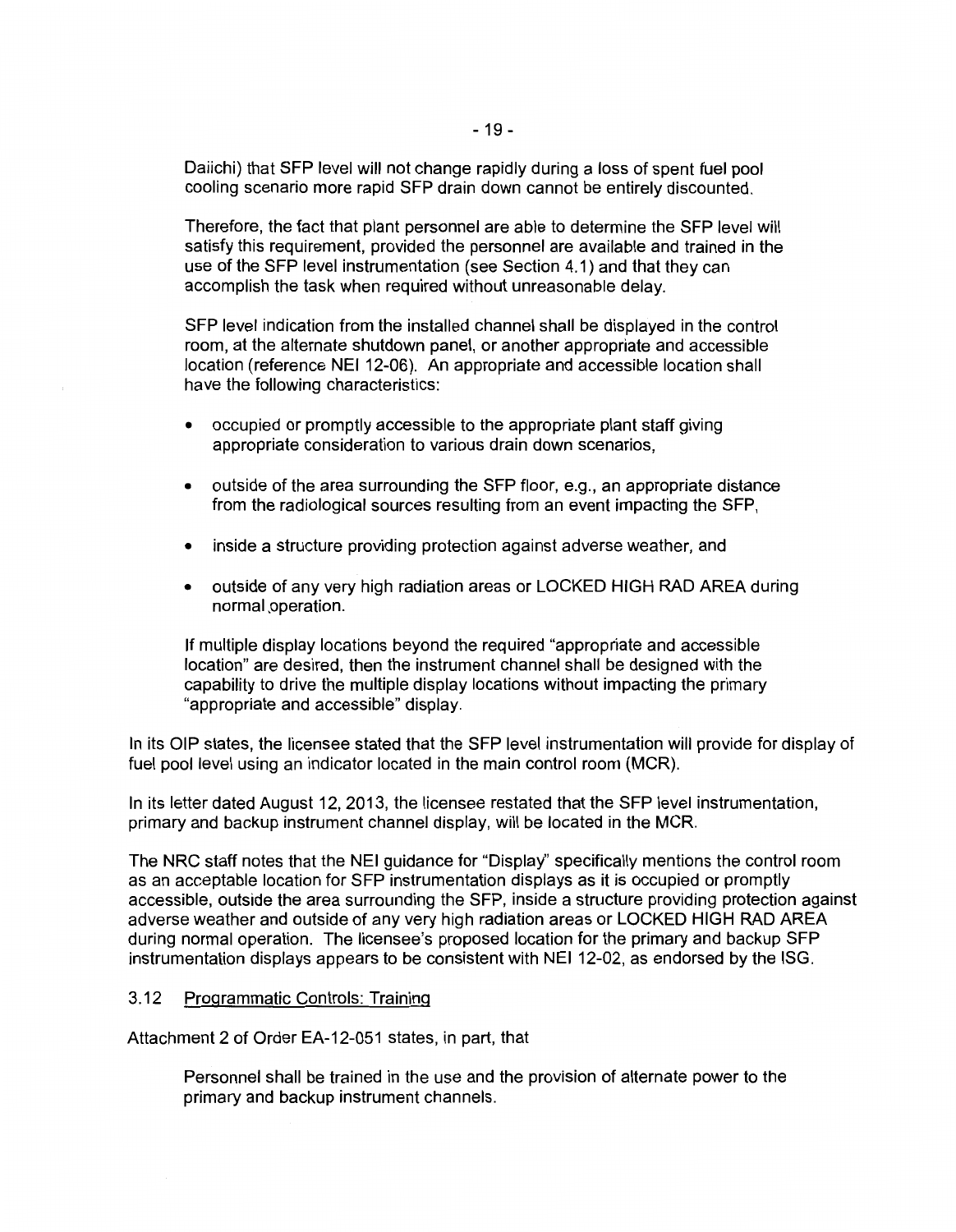Daiichi) that SFP level will not change rapidly during a loss of spent fuel pool cooling scenario more rapid SFP drain down cannot be entirely discounted.

Therefore, the fact that plant personnel are able to determine the SFP level will satisfy this requirement, provided the personnel are available and trained in the use of the SFP level instrumentation (see Section 4.1) and that they can accomplish the task when required without unreasonable delay.

SFP level indication from the installed channel shall be displayed in the control room, at the alternate shutdown panel, or another appropriate and accessible location (reference NEI 12-06). An appropriate and accessible location shall have the following characteristics:

- occupied or promptly accessible to the appropriate plant staff giving appropriate consideration to various drain down scenarios,
- outside of the area surrounding the SFP floor, e.g., an appropriate distance from the radiological sources resulting from an event impacting the SFP,
- inside a structure providing protection against adverse weather, and
- outside of any very high radiation areas or LOCKED HIGH RAD AREA during normal ,operation.

If multiple display locations beyond the required "appropriate and accessible location" are desired, then the instrument channel shall be designed with the capability to drive the multiple display locations without impacting the primary "appropriate and accessible" display.

In its OIP states, the licensee stated that the SFP level instrumentation will provide for display of fuel pool level using an indicator located in the main control room (MCR).

In its letter dated August 12, 2013, the licensee restated that the SFP level instrumentation, primary and backup instrument channel display, will be located in the MCR.

The NRC staff notes that the NEI guidance for "Display'' specifically mentions the control room as an acceptable location for SFP instrumentation displays as it is occupied or promptly accessible, outside the area surrounding the SFP, inside a structure providing protection against adverse weather and outside of any very high radiation areas or LOCKED HIGH RAD AREA during normal operation. The licensee's proposed location for the primary and backup SFP instrumentation displays appears to be consistent with NEI 12-02, as endorsed by the ISG.

#### 3.12 Programmatic Controls: Training

Attachment 2 of Order EA-12-051 states, in part, that

Personnel shall be trained in the use and the provision of alternate power to the primary and backup instrument channels.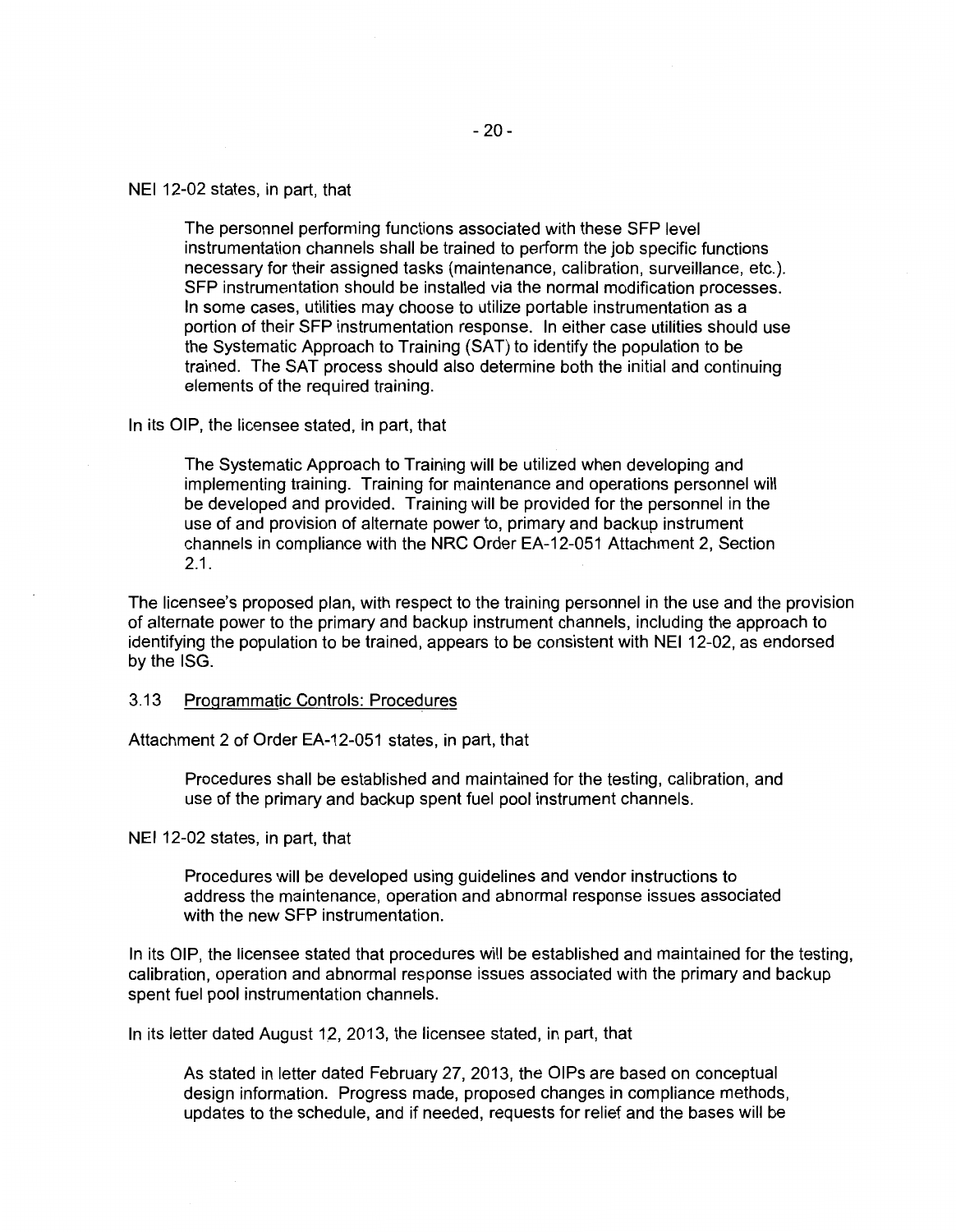The personnel performing functions associated with these SFP level instrumentation channels shall be trained to perform the job specific functions necessary for their assigned tasks (maintenance, calibration, surveillance, etc.). SFP instrumentation should be installed via the normal modification processes. In some cases, utilities may choose to utilize portable instrumentation as a portion of their SFP instrumentation response. In either case utilities should use the Systematic Approach to Training (SAT) to identify the population to be trained. The SAT process should also determine both the initial and continuing elements of the required training.

In its OIP, the licensee stated, in part, that

The Systematic Approach to Training will be utilized when developing and implementing training. Training for maintenance and operations personnel will be developed and provided. Training will be provided for the personnel in the use of and provision of alternate power to, primary and backup instrument channels in compliance with the NRC Order EA-12-051 Attachment 2, Section 2.1.

The licensee's proposed plan, with respect to the training personnel in the use and the provision of alternate power to the primary and backup instrument channels, including the approach to identifying the population to be trained, appears to be consistent with NEI 12-02, as endorsed by the ISG.

3.13 Programmatic Controls: Procedures

Attachment 2 of Order EA-12-051 states, in part, that

Procedures shall be established and maintained for the testing, calibration, and use of the primary and backup spent fuel pool instrument channels.

NEI 12-02 states, in part, that

Procedures will be developed using guidelines and vendor instructions to address the maintenance, operation and abnormal response issues associated with the new SFP instrumentation.

In its OIP, the licensee stated that procedures will be established and maintained for the testing, calibration, operation and abnormal response issues associated with the primary and backup spent fuel pool instrumentation channels.

In its letter dated August 12, 2013, the licensee stated, in part, that

As stated in letter dated February 27, 2013, the OIPs are based on conceptual design information. Progress made, proposed changes in compliance methods, updates to the schedule, and if needed, requests for relief and the bases will be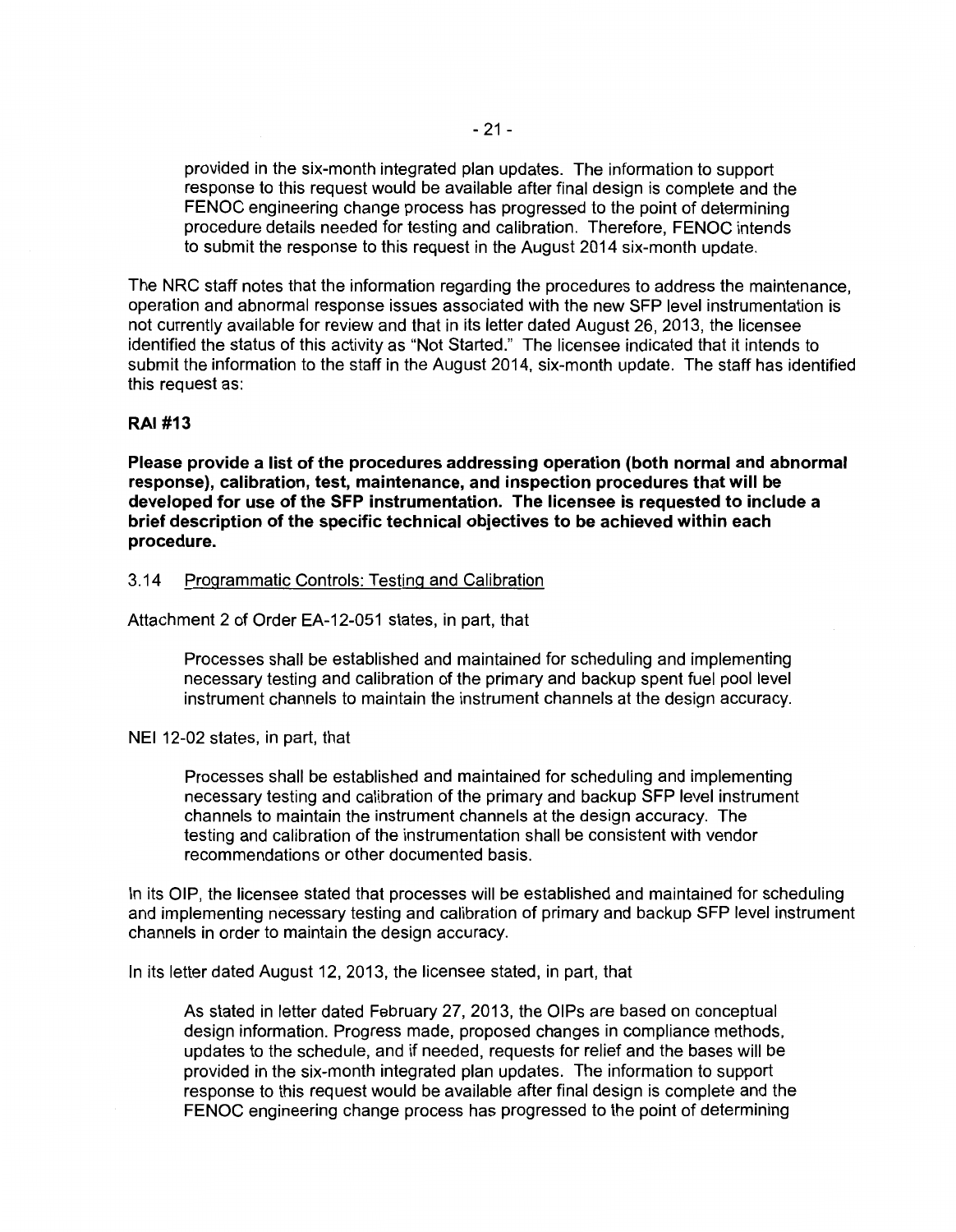provided in the six-month integrated plan updates. The information to support response to this request would be available after final design is complete and the FENOC engineering change process has progressed to the point of determining procedure details needed for testing and calibration. Therefore, FENOC intends to submit the response to this request in the August 2014 six-month update.

The NRC staff notes that the information regarding the procedures to address the maintenance, operation and abnormal response issues associated with the new SFP level instrumentation is not currently available for review and that in its letter dated August 26, 2013, the licensee identified the status of this activity as "Not Started." The licensee indicated that it intends to submit the information to the staff in the August 2014, six-month update. The staff has identified this request as:

## **RAI #13**

**Please provide a list of the procedures addressing operation (both normal and abnormal response), calibration, test, maintenance, and inspection procedures that will be developed for use of the SFP instrumentation. The licensee is requested to include a brief description of the specific technical objectives to be achieved within each procedure.** 

#### 3.14 Programmatic Controls: Testing and Calibration

Attachment 2 of Order EA-12-051 states, in part, that

Processes shall be established and maintained for scheduling and implementing necessary testing and calibration of the primary and backup spent fuel pool level instrument channels to maintain the instrument channels at the design accuracy.

#### NEI 12-02 states, in part, that

Processes shall be established and maintained for scheduling and implementing necessary testing and calibration of the primary and backup SFP level instrument channels to maintain the instrument channels at the design accuracy. The testing and calibration of the instrumentation shall be consistent with vendor recommendations or other documented basis.

In its OIP, the licensee stated that processes will be established and maintained for scheduling and implementing necessary testing and calibration of primary and backup SFP level instrument channels in order to maintain the design accuracy.

In its letter dated August 12, 2013, the licensee stated, in part, that

As stated in letter dated February 27, 2013, the OIPs are based on conceptual design information. Progress made, proposed changes in compliance methods, updates to the schedule, and if needed, requests for relief and the bases will be provided in the six-month integrated plan updates. The information to support response to this request would be available after final design is complete and the FENOC engineering change process has progressed to the point of determining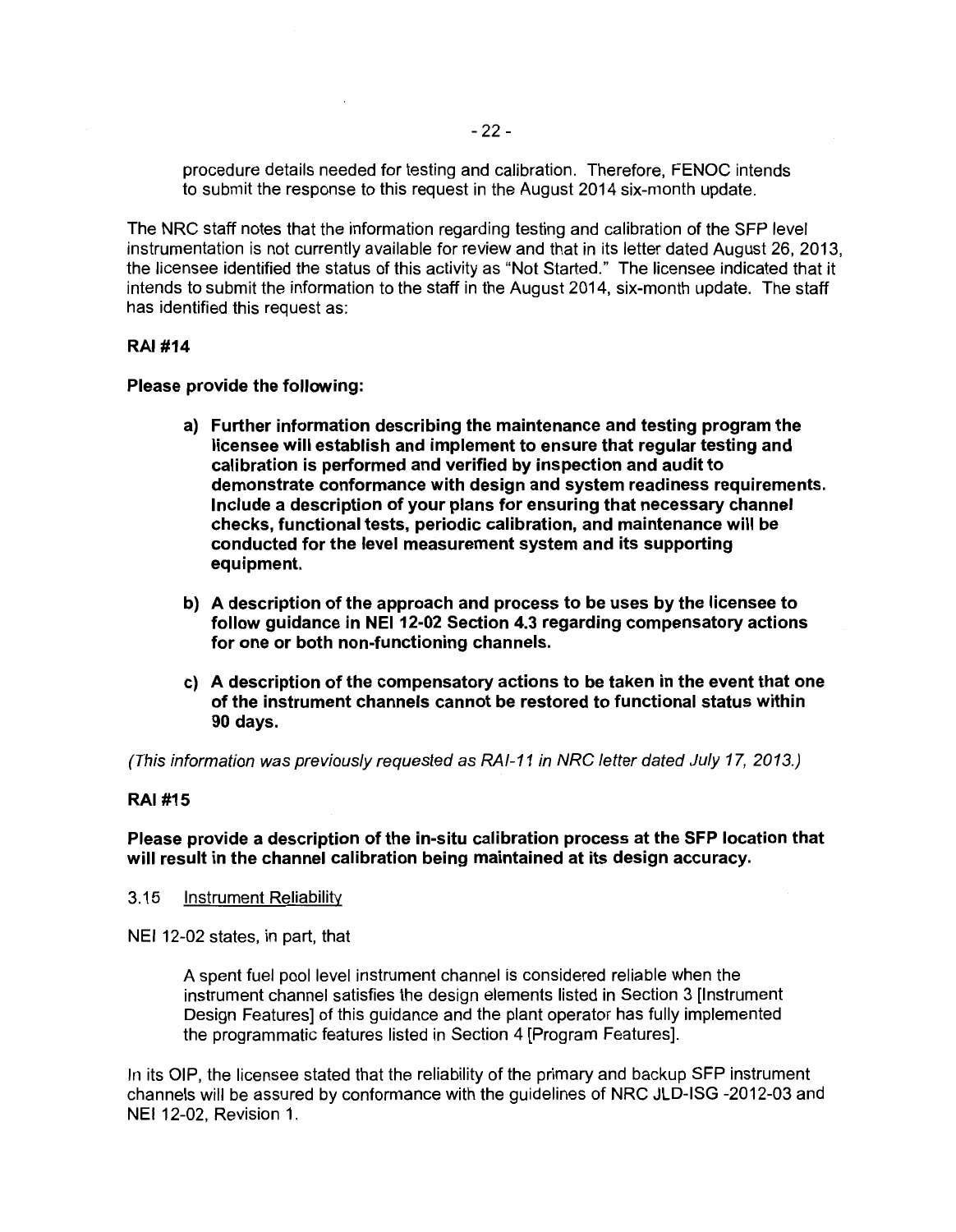procedure details needed for testing and calibration. Therefore, FENOC intends to submit the response to this request in the August 2014 six-month update.

The NRC staff notes that the information regarding testing and calibration of the SFP level instrumentation is not currently available for review and that in its letter dated August 26, 2013, the licensee identified the status of this activity as "Not Started." The licensee indicated that it intends to submit the information to the staff in the August 2014, six-month update. The staff has identified this request as:

#### RAI #14

Please provide the following:

- a) Further information describing the maintenance and testing program the licensee will establish and implement to ensure that regular testing and calibration is performed and verified by inspection and audit to demonstrate conformance with design and system readiness requirements. Include a description of your plans for ensuring that necessary channel checks, functional tests, periodic calibration, and maintenance will be conducted for the level measurement system and its supporting equipment.
- b) A description of the approach and process to be uses by the licensee to follow guidance in NEI 12-02 Section 4.3 regarding compensatory actions for one or both non-functioning channels.
- c) A description of the compensatory actions to be taken in the event that one of the instrument channels cannot be restored to functional status within 90 days.

(This information was previously requested as RAI-11 in NRC letter dated July 17, 2013.)

#### RAI #15

Please provide a description of the in-situ calibration process at the SFP location that will result in the channel calibration being maintained at its design accuracy.

3.15 Instrument Reliability

NEI 12-02 states, in part, that

A spent fuel pool level instrument channel is considered reliable when the instrument channel satisfies the design elements listed in Section 3 [Instrument Design Features] of this guidance and the plant operator has fully implemented the programmatic features listed in Section 4 [Program Features].

In its OIP, the licensee stated that the reliability of the primary and backup SFP instrument channels will be assured by conformance with the guidelines of NRC JLD-ISG -2012-03 and NEI 12-02, Revision 1.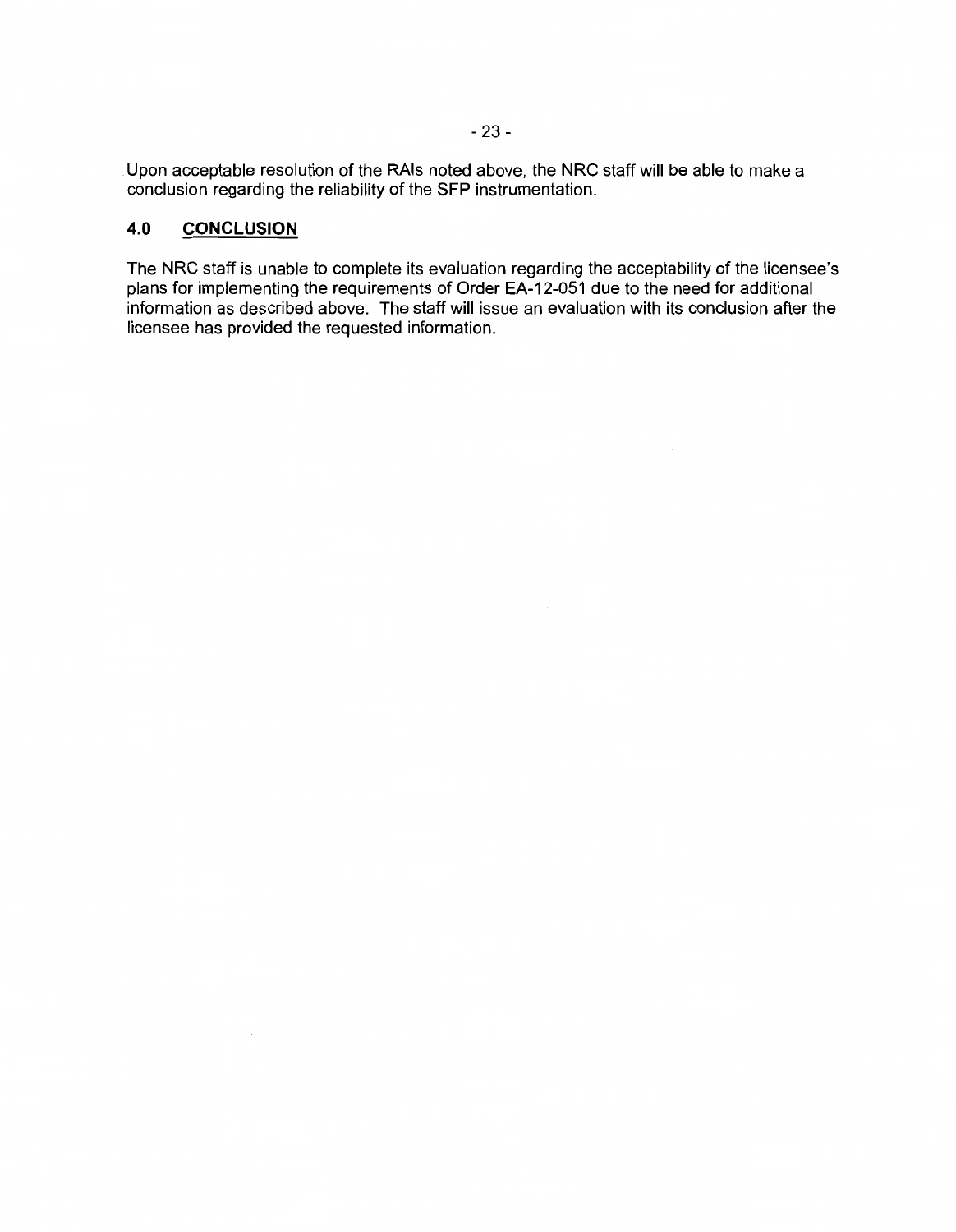Upon acceptable resolution of the RAis noted above, the NRC staff will be able to make a conclusion regarding the reliability of the SFP instrumentation.

#### **4.0 CONCLUSION**

The NRC staff is unable to complete its evaluation regarding the acceptability of the licensee's plans for implementing the requirements of Order EA-12-051 due to the need for additional information as described above. The staff will issue an evaluation with its conclusion after the licensee has provided the requested information.